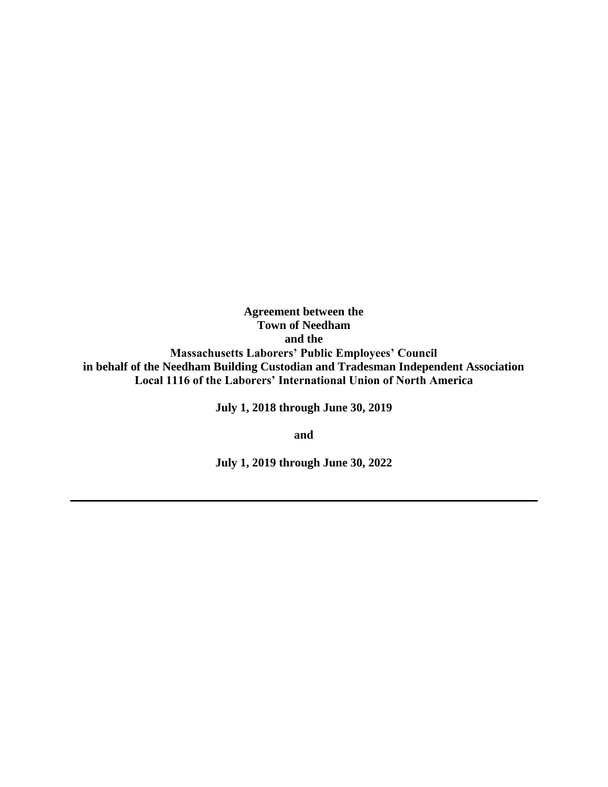**Agreement between the Town of Needham and the Massachusetts Laborers' Public Employees' Council in behalf of the Needham Building Custodian and Tradesman Independent Association Local 1116 of the Laborers' International Union of North America** 

**July 1, 2018 through June 30, 2019**

**and**

**July 1, 2019 through June 30, 2022**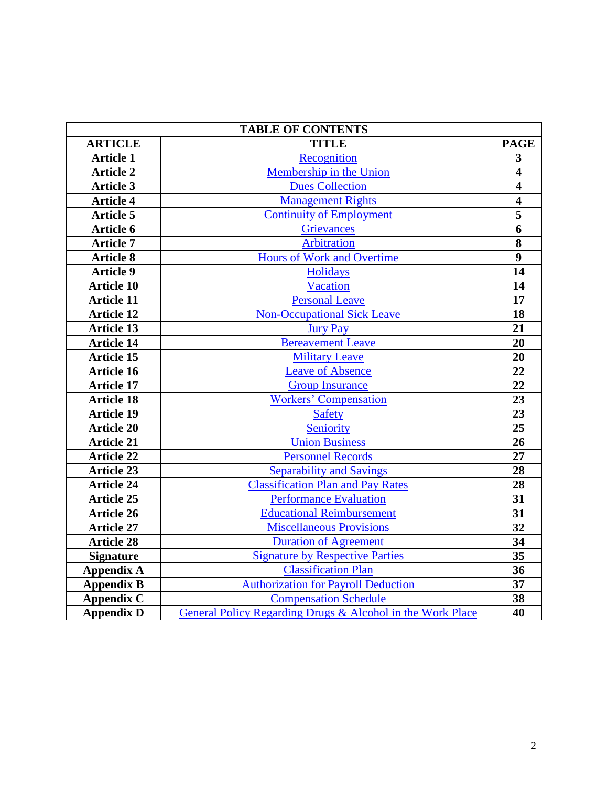| <b>TABLE OF CONTENTS</b> |                                                            |                         |  |
|--------------------------|------------------------------------------------------------|-------------------------|--|
| <b>ARTICLE</b>           | <b>TITLE</b>                                               | <b>PAGE</b>             |  |
| <b>Article 1</b>         | Recognition                                                | $\overline{\mathbf{3}}$ |  |
| <b>Article 2</b>         | Membership in the Union                                    | $\overline{\mathbf{4}}$ |  |
| <b>Article 3</b>         | <b>Dues Collection</b>                                     | $\overline{\mathbf{4}}$ |  |
| <b>Article 4</b>         | <b>Management Rights</b>                                   | $\overline{4}$          |  |
| <b>Article 5</b>         | <b>Continuity of Employment</b>                            | $\overline{\mathbf{5}}$ |  |
| Article 6                | <b>Grievances</b>                                          | $\overline{6}$          |  |
| <b>Article 7</b>         | <b>Arbitration</b>                                         | $\overline{\mathbf{8}}$ |  |
| <b>Article 8</b>         | Hours of Work and Overtime                                 | $\overline{9}$          |  |
| <b>Article 9</b>         | Holidays                                                   | 14                      |  |
| <b>Article 10</b>        | <b>Vacation</b>                                            | 14                      |  |
| <b>Article 11</b>        | <b>Personal Leave</b>                                      | 17                      |  |
| <b>Article 12</b>        | <b>Non-Occupational Sick Leave</b>                         | 18                      |  |
| <b>Article 13</b>        | <b>Jury Pay</b>                                            | 21                      |  |
| <b>Article 14</b>        | <b>Bereavement Leave</b>                                   | 20                      |  |
| <b>Article 15</b>        | <b>Military Leave</b>                                      | 20                      |  |
| <b>Article 16</b>        | <b>Leave of Absence</b>                                    | 22                      |  |
| <b>Article 17</b>        | <b>Group Insurance</b>                                     | 22                      |  |
| <b>Article 18</b>        | <b>Workers' Compensation</b>                               | 23                      |  |
| <b>Article 19</b>        | <b>Safety</b>                                              | 23                      |  |
| <b>Article 20</b>        | Seniority                                                  | 25                      |  |
| <b>Article 21</b>        | <b>Union Business</b>                                      | 26                      |  |
| <b>Article 22</b>        | <b>Personnel Records</b>                                   | 27                      |  |
| <b>Article 23</b>        | <b>Separability and Savings</b>                            | 28                      |  |
| <b>Article 24</b>        | <b>Classification Plan and Pay Rates</b>                   | 28                      |  |
| <b>Article 25</b>        | <b>Performance Evaluation</b>                              | 31                      |  |
| <b>Article 26</b>        | <b>Educational Reimbursement</b>                           | 31                      |  |
| <b>Article 27</b>        | <b>Miscellaneous Provisions</b>                            | $\overline{32}$         |  |
| <b>Article 28</b>        | <b>Duration of Agreement</b>                               | 34                      |  |
| <b>Signature</b>         | <b>Signature by Respective Parties</b>                     | 35                      |  |
| <b>Appendix A</b>        | <b>Classification Plan</b>                                 | 36                      |  |
| <b>Appendix B</b>        | <b>Authorization for Payroll Deduction</b>                 | 37                      |  |
| <b>Appendix C</b>        | <b>Compensation Schedule</b>                               | 38                      |  |
| <b>Appendix D</b>        | General Policy Regarding Drugs & Alcohol in the Work Place | 40                      |  |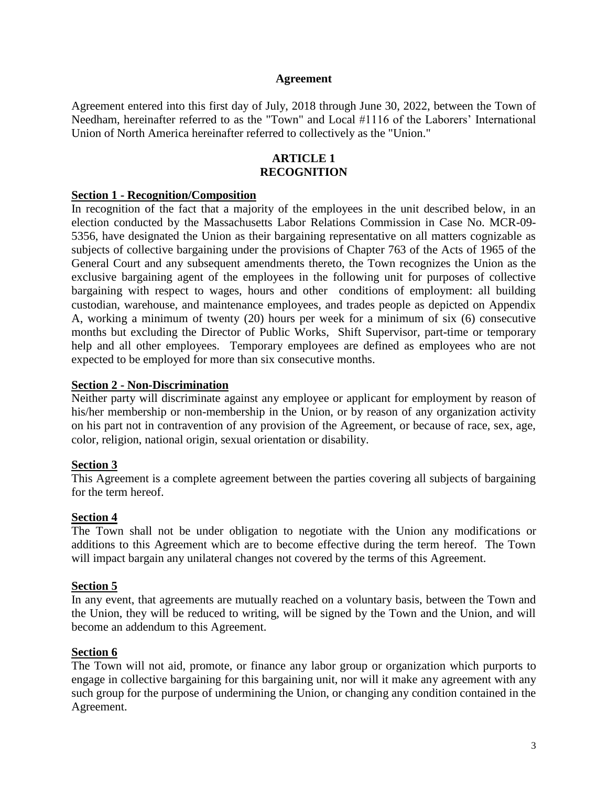#### **Agreement**

Agreement entered into this first day of July, 2018 through June 30, 2022, between the Town of Needham, hereinafter referred to as the "Town" and Local #1116 of the Laborers' International Union of North America hereinafter referred to collectively as the "Union."

### **ARTICLE 1 RECOGNITION**

#### <span id="page-2-0"></span>**Section 1 - Recognition/Composition**

In recognition of the fact that a majority of the employees in the unit described below, in an election conducted by the Massachusetts Labor Relations Commission in Case No. MCR-09- 5356, have designated the Union as their bargaining representative on all matters cognizable as subjects of collective bargaining under the provisions of Chapter 763 of the Acts of 1965 of the General Court and any subsequent amendments thereto, the Town recognizes the Union as the exclusive bargaining agent of the employees in the following unit for purposes of collective bargaining with respect to wages, hours and other conditions of employment: all building custodian, warehouse, and maintenance employees, and trades people as depicted on Appendix A, working a minimum of twenty (20) hours per week for a minimum of six (6) consecutive months but excluding the Director of Public Works, Shift Supervisor, part-time or temporary help and all other employees. Temporary employees are defined as employees who are not expected to be employed for more than six consecutive months.

#### **Section 2 - Non-Discrimination**

Neither party will discriminate against any employee or applicant for employment by reason of his/her membership or non-membership in the Union, or by reason of any organization activity on his part not in contravention of any provision of the Agreement, or because of race, sex, age, color, religion, national origin, sexual orientation or disability.

### **Section 3**

This Agreement is a complete agreement between the parties covering all subjects of bargaining for the term hereof.

#### **Section 4**

The Town shall not be under obligation to negotiate with the Union any modifications or additions to this Agreement which are to become effective during the term hereof. The Town will impact bargain any unilateral changes not covered by the terms of this Agreement.

#### **Section 5**

In any event, that agreements are mutually reached on a voluntary basis, between the Town and the Union, they will be reduced to writing, will be signed by the Town and the Union, and will become an addendum to this Agreement.

### **Section 6**

The Town will not aid, promote, or finance any labor group or organization which purports to engage in collective bargaining for this bargaining unit, nor will it make any agreement with any such group for the purpose of undermining the Union, or changing any condition contained in the Agreement.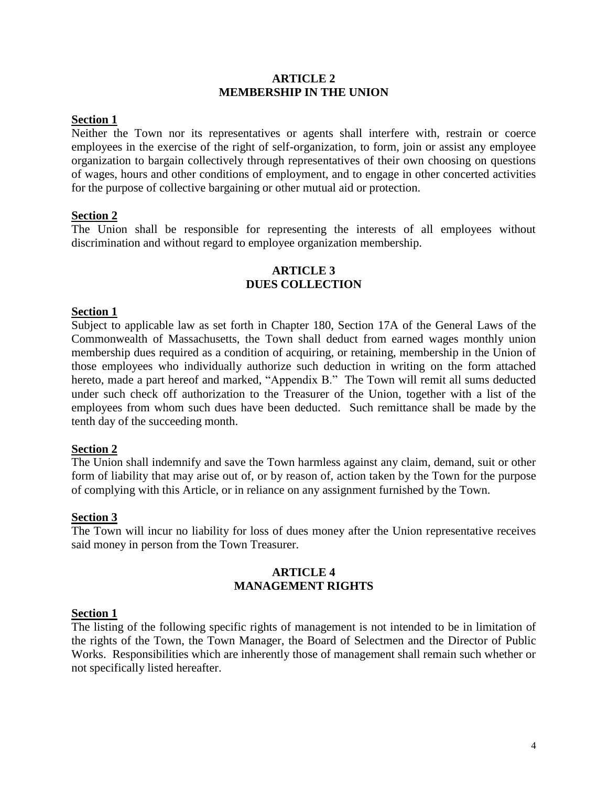#### **ARTICLE 2 MEMBERSHIP IN THE UNION**

#### <span id="page-3-0"></span>**Section 1**

Neither the Town nor its representatives or agents shall interfere with, restrain or coerce employees in the exercise of the right of self-organization, to form, join or assist any employee organization to bargain collectively through representatives of their own choosing on questions of wages, hours and other conditions of employment, and to engage in other concerted activities for the purpose of collective bargaining or other mutual aid or protection.

### **Section 2**

<span id="page-3-1"></span>The Union shall be responsible for representing the interests of all employees without discrimination and without regard to employee organization membership.

### **ARTICLE 3 DUES COLLECTION**

### **Section 1**

Subject to applicable law as set forth in Chapter 180, Section 17A of the General Laws of the Commonwealth of Massachusetts, the Town shall deduct from earned wages monthly union membership dues required as a condition of acquiring, or retaining, membership in the Union of those employees who individually authorize such deduction in writing on the form attached hereto, made a part hereof and marked, "Appendix B." The Town will remit all sums deducted under such check off authorization to the Treasurer of the Union, together with a list of the employees from whom such dues have been deducted. Such remittance shall be made by the tenth day of the succeeding month.

#### **Section 2**

The Union shall indemnify and save the Town harmless against any claim, demand, suit or other form of liability that may arise out of, or by reason of, action taken by the Town for the purpose of complying with this Article, or in reliance on any assignment furnished by the Town.

#### **Section 3**

<span id="page-3-2"></span>The Town will incur no liability for loss of dues money after the Union representative receives said money in person from the Town Treasurer.

# **ARTICLE 4 MANAGEMENT RIGHTS**

#### **Section 1**

The listing of the following specific rights of management is not intended to be in limitation of the rights of the Town, the Town Manager, the Board of Selectmen and the Director of Public Works. Responsibilities which are inherently those of management shall remain such whether or not specifically listed hereafter.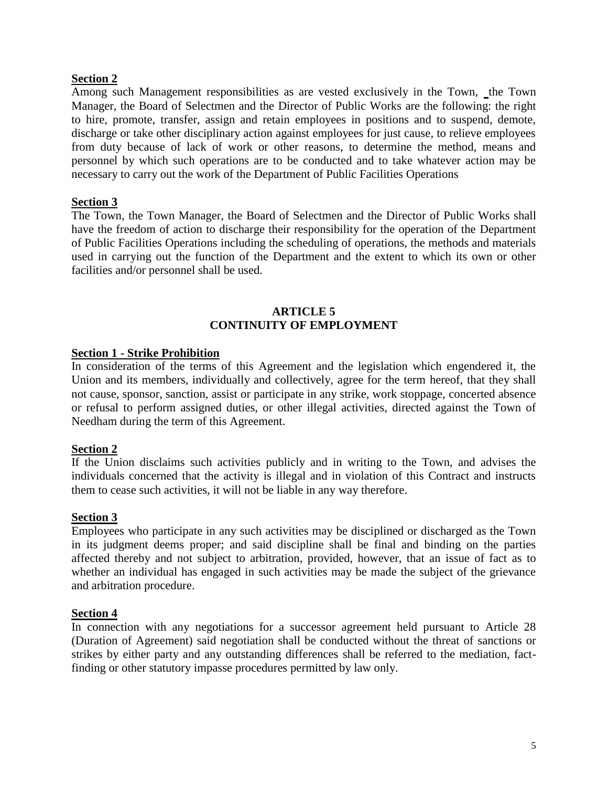# **Section 2**

Among such Management responsibilities as are vested exclusively in the Town, the Town Manager, the Board of Selectmen and the Director of Public Works are the following: the right to hire, promote, transfer, assign and retain employees in positions and to suspend, demote, discharge or take other disciplinary action against employees for just cause, to relieve employees from duty because of lack of work or other reasons, to determine the method, means and personnel by which such operations are to be conducted and to take whatever action may be necessary to carry out the work of the Department of Public Facilities Operations

### **Section 3**

The Town, the Town Manager, the Board of Selectmen and the Director of Public Works shall have the freedom of action to discharge their responsibility for the operation of the Department of Public Facilities Operations including the scheduling of operations, the methods and materials used in carrying out the function of the Department and the extent to which its own or other facilities and/or personnel shall be used.

# **ARTICLE 5 CONTINUITY OF EMPLOYMENT**

### <span id="page-4-0"></span>**Section 1 - Strike Prohibition**

In consideration of the terms of this Agreement and the legislation which engendered it, the Union and its members, individually and collectively, agree for the term hereof, that they shall not cause, sponsor, sanction, assist or participate in any strike, work stoppage, concerted absence or refusal to perform assigned duties, or other illegal activities, directed against the Town of Needham during the term of this Agreement.

### **Section 2**

If the Union disclaims such activities publicly and in writing to the Town, and advises the individuals concerned that the activity is illegal and in violation of this Contract and instructs them to cease such activities, it will not be liable in any way therefore.

### **Section 3**

Employees who participate in any such activities may be disciplined or discharged as the Town in its judgment deems proper; and said discipline shall be final and binding on the parties affected thereby and not subject to arbitration, provided, however, that an issue of fact as to whether an individual has engaged in such activities may be made the subject of the grievance and arbitration procedure.

### **Section 4**

In connection with any negotiations for a successor agreement held pursuant to Article 28 (Duration of Agreement) said negotiation shall be conducted without the threat of sanctions or strikes by either party and any outstanding differences shall be referred to the mediation, factfinding or other statutory impasse procedures permitted by law only.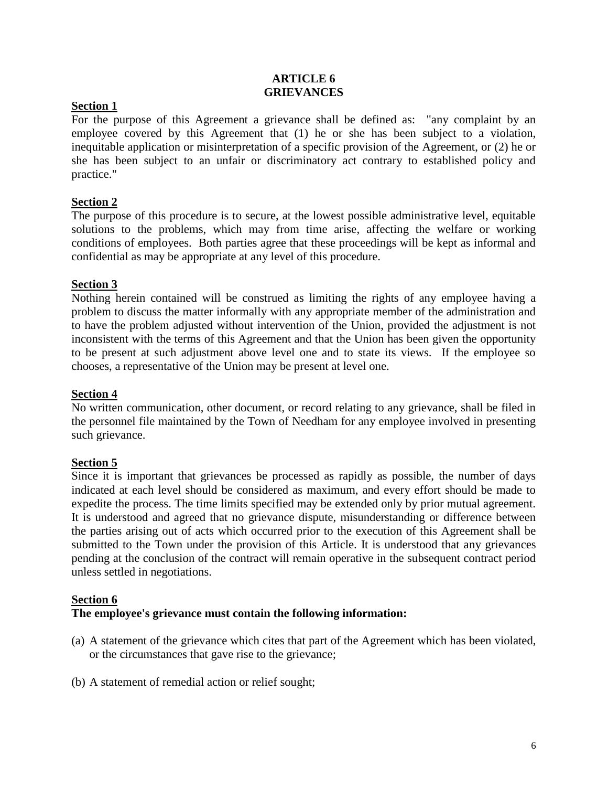### **ARTICLE 6 GRIEVANCES**

# <span id="page-5-0"></span>**Section 1**

For the purpose of this Agreement a grievance shall be defined as: "any complaint by an employee covered by this Agreement that (1) he or she has been subject to a violation, inequitable application or misinterpretation of a specific provision of the Agreement, or (2) he or she has been subject to an unfair or discriminatory act contrary to established policy and practice."

# **Section 2**

The purpose of this procedure is to secure, at the lowest possible administrative level, equitable solutions to the problems, which may from time arise, affecting the welfare or working conditions of employees. Both parties agree that these proceedings will be kept as informal and confidential as may be appropriate at any level of this procedure.

### **Section 3**

Nothing herein contained will be construed as limiting the rights of any employee having a problem to discuss the matter informally with any appropriate member of the administration and to have the problem adjusted without intervention of the Union, provided the adjustment is not inconsistent with the terms of this Agreement and that the Union has been given the opportunity to be present at such adjustment above level one and to state its views. If the employee so chooses, a representative of the Union may be present at level one.

### **Section 4**

No written communication, other document, or record relating to any grievance, shall be filed in the personnel file maintained by the Town of Needham for any employee involved in presenting such grievance.

### **Section 5**

Since it is important that grievances be processed as rapidly as possible, the number of days indicated at each level should be considered as maximum, and every effort should be made to expedite the process. The time limits specified may be extended only by prior mutual agreement. It is understood and agreed that no grievance dispute, misunderstanding or difference between the parties arising out of acts which occurred prior to the execution of this Agreement shall be submitted to the Town under the provision of this Article. It is understood that any grievances pending at the conclusion of the contract will remain operative in the subsequent contract period unless settled in negotiations.

### **Section 6**

### **The employee's grievance must contain the following information:**

- (a) A statement of the grievance which cites that part of the Agreement which has been violated, or the circumstances that gave rise to the grievance;
- (b) A statement of remedial action or relief sought;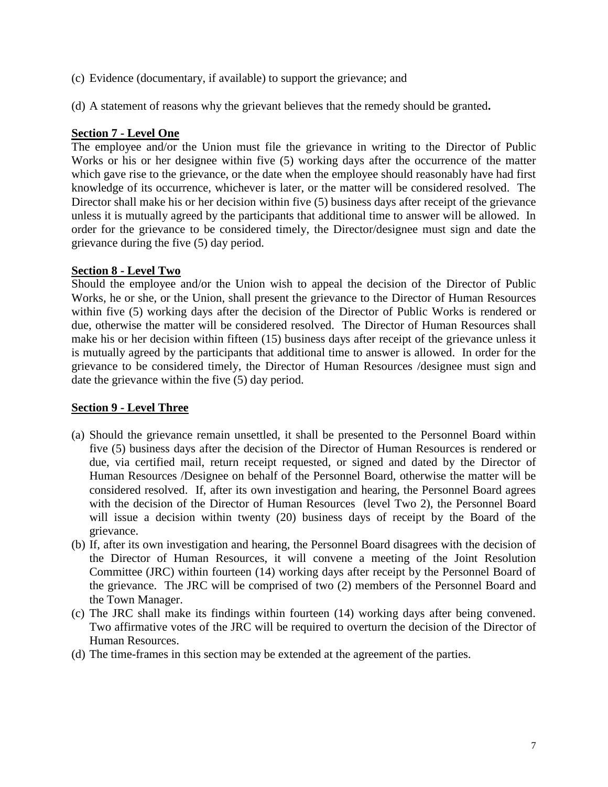- (c) Evidence (documentary, if available) to support the grievance; and
- (d) A statement of reasons why the grievant believes that the remedy should be granted**.**

# **Section 7 - Level One**

The employee and/or the Union must file the grievance in writing to the Director of Public Works or his or her designee within five (5) working days after the occurrence of the matter which gave rise to the grievance, or the date when the employee should reasonably have had first knowledge of its occurrence, whichever is later, or the matter will be considered resolved. The Director shall make his or her decision within five (5) business days after receipt of the grievance unless it is mutually agreed by the participants that additional time to answer will be allowed. In order for the grievance to be considered timely, the Director/designee must sign and date the grievance during the five (5) day period.

# **Section 8 - Level Two**

Should the employee and/or the Union wish to appeal the decision of the Director of Public Works, he or she, or the Union, shall present the grievance to the Director of Human Resources within five (5) working days after the decision of the Director of Public Works is rendered or due, otherwise the matter will be considered resolved. The Director of Human Resources shall make his or her decision within fifteen (15) business days after receipt of the grievance unless it is mutually agreed by the participants that additional time to answer is allowed. In order for the grievance to be considered timely, the Director of Human Resources /designee must sign and date the grievance within the five (5) day period.

# **Section 9 - Level Three**

- (a) Should the grievance remain unsettled, it shall be presented to the Personnel Board within five (5) business days after the decision of the Director of Human Resources is rendered or due, via certified mail, return receipt requested, or signed and dated by the Director of Human Resources /Designee on behalf of the Personnel Board, otherwise the matter will be considered resolved. If, after its own investigation and hearing, the Personnel Board agrees with the decision of the Director of Human Resources (level Two 2), the Personnel Board will issue a decision within twenty (20) business days of receipt by the Board of the grievance.
- (b) If, after its own investigation and hearing, the Personnel Board disagrees with the decision of the Director of Human Resources, it will convene a meeting of the Joint Resolution Committee (JRC) within fourteen (14) working days after receipt by the Personnel Board of the grievance. The JRC will be comprised of two (2) members of the Personnel Board and the Town Manager.
- (c) The JRC shall make its findings within fourteen (14) working days after being convened. Two affirmative votes of the JRC will be required to overturn the decision of the Director of Human Resources.
- (d) The time-frames in this section may be extended at the agreement of the parties.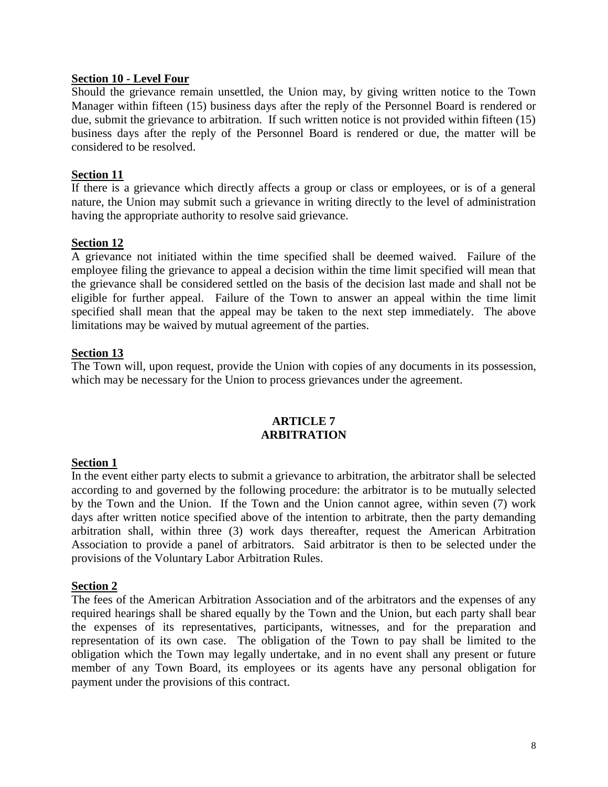### **Section 10 - Level Four**

Should the grievance remain unsettled, the Union may, by giving written notice to the Town Manager within fifteen (15) business days after the reply of the Personnel Board is rendered or due, submit the grievance to arbitration. If such written notice is not provided within fifteen (15) business days after the reply of the Personnel Board is rendered or due, the matter will be considered to be resolved.

### **Section 11**

If there is a grievance which directly affects a group or class or employees, or is of a general nature, the Union may submit such a grievance in writing directly to the level of administration having the appropriate authority to resolve said grievance.

# **Section 12**

A grievance not initiated within the time specified shall be deemed waived. Failure of the employee filing the grievance to appeal a decision within the time limit specified will mean that the grievance shall be considered settled on the basis of the decision last made and shall not be eligible for further appeal. Failure of the Town to answer an appeal within the time limit specified shall mean that the appeal may be taken to the next step immediately. The above limitations may be waived by mutual agreement of the parties.

# **Section 13**

The Town will, upon request, provide the Union with copies of any documents in its possession, which may be necessary for the Union to process grievances under the agreement.

### **ARTICLE 7 ARBITRATION**

### <span id="page-7-0"></span>**Section 1**

In the event either party elects to submit a grievance to arbitration, the arbitrator shall be selected according to and governed by the following procedure: the arbitrator is to be mutually selected by the Town and the Union. If the Town and the Union cannot agree, within seven (7) work days after written notice specified above of the intention to arbitrate, then the party demanding arbitration shall, within three (3) work days thereafter, request the American Arbitration Association to provide a panel of arbitrators. Said arbitrator is then to be selected under the provisions of the Voluntary Labor Arbitration Rules.

### **Section 2**

The fees of the American Arbitration Association and of the arbitrators and the expenses of any required hearings shall be shared equally by the Town and the Union, but each party shall bear the expenses of its representatives, participants, witnesses, and for the preparation and representation of its own case. The obligation of the Town to pay shall be limited to the obligation which the Town may legally undertake, and in no event shall any present or future member of any Town Board, its employees or its agents have any personal obligation for payment under the provisions of this contract.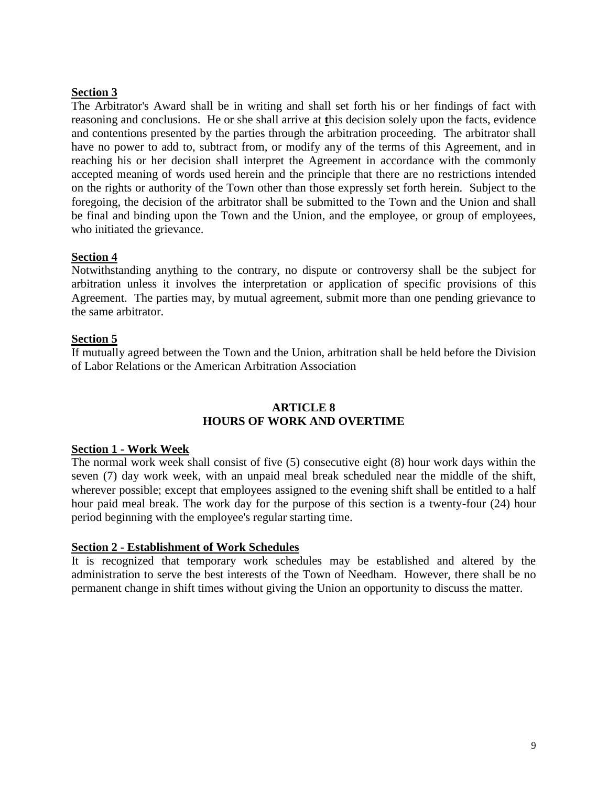# **Section 3**

The Arbitrator's Award shall be in writing and shall set forth his or her findings of fact with reasoning and conclusions. He or she shall arrive at **t**his decision solely upon the facts, evidence and contentions presented by the parties through the arbitration proceeding. The arbitrator shall have no power to add to, subtract from, or modify any of the terms of this Agreement, and in reaching his or her decision shall interpret the Agreement in accordance with the commonly accepted meaning of words used herein and the principle that there are no restrictions intended on the rights or authority of the Town other than those expressly set forth herein. Subject to the foregoing, the decision of the arbitrator shall be submitted to the Town and the Union and shall be final and binding upon the Town and the Union, and the employee, or group of employees, who initiated the grievance.

# **Section 4**

Notwithstanding anything to the contrary, no dispute or controversy shall be the subject for arbitration unless it involves the interpretation or application of specific provisions of this Agreement. The parties may, by mutual agreement, submit more than one pending grievance to the same arbitrator.

# **Section 5**

If mutually agreed between the Town and the Union, arbitration shall be held before the Division of Labor Relations or the American Arbitration Association

# **ARTICLE 8 HOURS OF WORK AND OVERTIME**

### <span id="page-8-0"></span>**Section 1 - Work Week**

The normal work week shall consist of five (5) consecutive eight (8) hour work days within the seven (7) day work week, with an unpaid meal break scheduled near the middle of the shift, wherever possible; except that employees assigned to the evening shift shall be entitled to a half hour paid meal break. The work day for the purpose of this section is a twenty-four (24) hour period beginning with the employee's regular starting time.

### **Section 2 - Establishment of Work Schedules**

It is recognized that temporary work schedules may be established and altered by the administration to serve the best interests of the Town of Needham. However, there shall be no permanent change in shift times without giving the Union an opportunity to discuss the matter.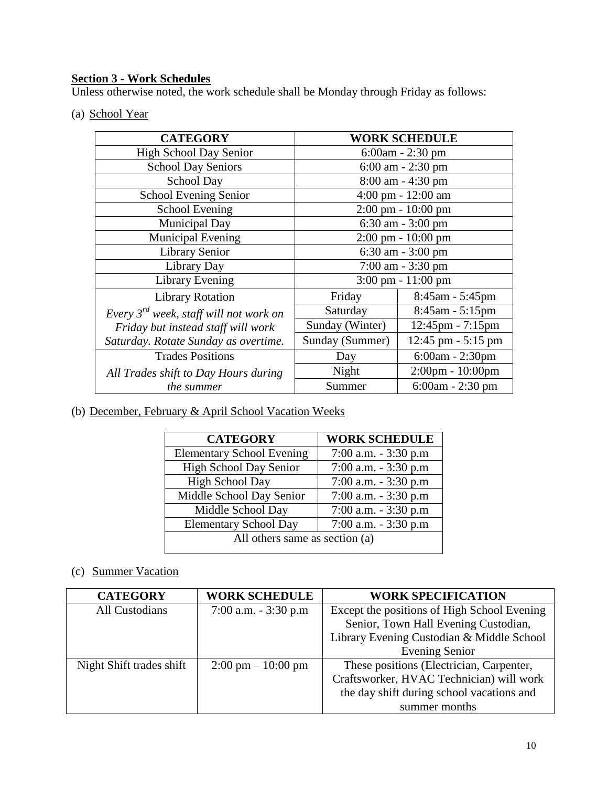# **Section 3 - Work Schedules**

Unless otherwise noted, the work schedule shall be Monday through Friday as follows:

(a) School Year

| <b>CATEGORY</b>                             | <b>WORK SCHEDULE</b>                 |                                      |  |
|---------------------------------------------|--------------------------------------|--------------------------------------|--|
| <b>High School Day Senior</b>               | $6:00am - 2:30 pm$                   |                                      |  |
| <b>School Day Seniors</b>                   |                                      | $6:00$ am $- 2:30$ pm                |  |
| School Day                                  |                                      | 8:00 am - 4:30 pm                    |  |
| <b>School Evening Senior</b>                |                                      | 4:00 pm - 12:00 am                   |  |
| <b>School Evening</b>                       |                                      | $2:00 \text{ pm} - 10:00 \text{ pm}$ |  |
| Municipal Day                               |                                      | 6:30 am - 3:00 pm                    |  |
| <b>Municipal Evening</b>                    |                                      | $2:00 \text{ pm} - 10:00 \text{ pm}$ |  |
| <b>Library Senior</b>                       | $6:30$ am $-3:00$ pm                 |                                      |  |
| Library Day                                 | $7:00$ am $-3:30$ pm                 |                                      |  |
| Library Evening                             | $3:00 \text{ pm} - 11:00 \text{ pm}$ |                                      |  |
| <b>Library Rotation</b>                     | Friday<br>$8:45$ am - 5:45pm         |                                      |  |
| Every $3^{rd}$ week, staff will not work on | Saturday                             | $8:45$ am - 5:15pm                   |  |
| Friday but instead staff will work          | Sunday (Winter)                      | 12:45pm - 7:15pm                     |  |
| Saturday. Rotate Sunday as overtime.        | Sunday (Summer)                      | $12:45$ pm $-5:15$ pm                |  |
| <b>Trades Positions</b>                     | Day                                  | 6:00am - 2:30pm                      |  |
| All Trades shift to Day Hours during        | Night                                | 2:00pm - 10:00pm                     |  |
| <i>the summer</i>                           | Summer                               | 6:00am - 2:30 pm                     |  |

(b) December, February & April School Vacation Weeks

| <b>CATEGORY</b>                  | <b>WORK SCHEDULE</b>    |  |  |
|----------------------------------|-------------------------|--|--|
| <b>Elementary School Evening</b> | $7:00$ a.m. $-3:30$ p.m |  |  |
| High School Day Senior           | $7:00$ a.m. $-3:30$ p.m |  |  |
| <b>High School Day</b>           | $7:00$ a.m. $-3:30$ p.m |  |  |
| Middle School Day Senior         | $7:00$ a.m. $-3:30$ p.m |  |  |
| Middle School Day                | $7:00$ a.m. $-3:30$ p.m |  |  |
| <b>Elementary School Day</b>     | $7:00$ a.m. $-3:30$ p.m |  |  |
| All others same as section (a)   |                         |  |  |

# (c) Summer Vacation

| <b>CATEGORY</b>          | <b>WORK SCHEDULE</b>                 | <b>WORK SPECIFICATION</b>                   |
|--------------------------|--------------------------------------|---------------------------------------------|
| All Custodians           | $7:00$ a.m. $-3:30$ p.m              | Except the positions of High School Evening |
|                          |                                      | Senior, Town Hall Evening Custodian,        |
|                          |                                      | Library Evening Custodian & Middle School   |
|                          |                                      | <b>Evening Senior</b>                       |
| Night Shift trades shift | $2:00 \text{ pm} - 10:00 \text{ pm}$ | These positions (Electrician, Carpenter,    |
|                          |                                      | Craftsworker, HVAC Technician) will work    |
|                          |                                      | the day shift during school vacations and   |
|                          |                                      | summer months                               |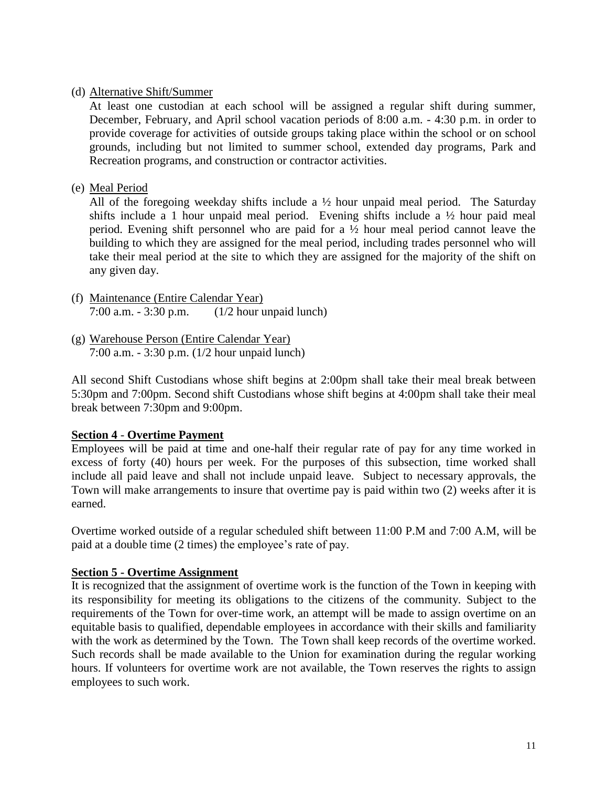# (d) Alternative Shift/Summer

At least one custodian at each school will be assigned a regular shift during summer, December, February, and April school vacation periods of 8:00 a.m. - 4:30 p.m. in order to provide coverage for activities of outside groups taking place within the school or on school grounds, including but not limited to summer school, extended day programs, Park and Recreation programs, and construction or contractor activities.

# (e) Meal Period

All of the foregoing weekday shifts include a ½ hour unpaid meal period. The Saturday shifts include a 1 hour unpaid meal period. Evening shifts include a ½ hour paid meal period. Evening shift personnel who are paid for a ½ hour meal period cannot leave the building to which they are assigned for the meal period, including trades personnel who will take their meal period at the site to which they are assigned for the majority of the shift on any given day.

- (f) Maintenance (Entire Calendar Year) 7:00 a.m. - 3:30 p.m. (1/2 hour unpaid lunch)
- (g) Warehouse Person (Entire Calendar Year) 7:00 a.m. - 3:30 p.m. (1/2 hour unpaid lunch)

All second Shift Custodians whose shift begins at 2:00pm shall take their meal break between 5:30pm and 7:00pm. Second shift Custodians whose shift begins at 4:00pm shall take their meal break between 7:30pm and 9:00pm.

### **Section 4** - **Overtime Payment**

Employees will be paid at time and one-half their regular rate of pay for any time worked in excess of forty (40) hours per week. For the purposes of this subsection, time worked shall include all paid leave and shall not include unpaid leave. Subject to necessary approvals, the Town will make arrangements to insure that overtime pay is paid within two (2) weeks after it is earned.

Overtime worked outside of a regular scheduled shift between 11:00 P.M and 7:00 A.M, will be paid at a double time (2 times) the employee's rate of pay.

### **Section 5 - Overtime Assignment**

It is recognized that the assignment of overtime work is the function of the Town in keeping with its responsibility for meeting its obligations to the citizens of the community. Subject to the requirements of the Town for over-time work, an attempt will be made to assign overtime on an equitable basis to qualified, dependable employees in accordance with their skills and familiarity with the work as determined by the Town. The Town shall keep records of the overtime worked. Such records shall be made available to the Union for examination during the regular working hours. If volunteers for overtime work are not available, the Town reserves the rights to assign employees to such work.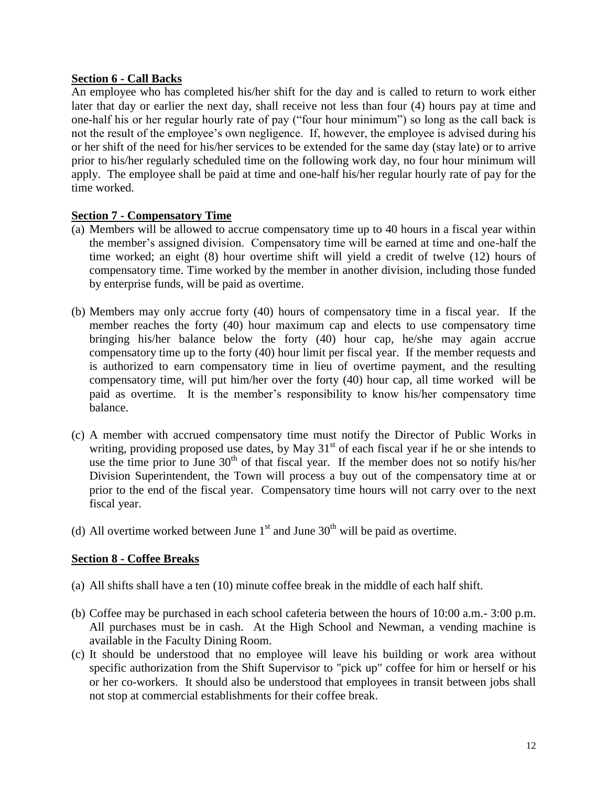# **Section 6 - Call Backs**

An employee who has completed his/her shift for the day and is called to return to work either later that day or earlier the next day, shall receive not less than four (4) hours pay at time and one-half his or her regular hourly rate of pay ("four hour minimum") so long as the call back is not the result of the employee's own negligence. If, however, the employee is advised during his or her shift of the need for his/her services to be extended for the same day (stay late) or to arrive prior to his/her regularly scheduled time on the following work day, no four hour minimum will apply. The employee shall be paid at time and one-half his/her regular hourly rate of pay for the time worked.

# **Section 7 - Compensatory Time**

- (a) Members will be allowed to accrue compensatory time up to 40 hours in a fiscal year within the member's assigned division. Compensatory time will be earned at time and one-half the time worked; an eight (8) hour overtime shift will yield a credit of twelve (12) hours of compensatory time. Time worked by the member in another division, including those funded by enterprise funds, will be paid as overtime.
- (b) Members may only accrue forty (40) hours of compensatory time in a fiscal year. If the member reaches the forty (40) hour maximum cap and elects to use compensatory time bringing his/her balance below the forty (40) hour cap, he/she may again accrue compensatory time up to the forty (40) hour limit per fiscal year. If the member requests and is authorized to earn compensatory time in lieu of overtime payment, and the resulting compensatory time, will put him/her over the forty (40) hour cap, all time worked will be paid as overtime. It is the member's responsibility to know his/her compensatory time balance.
- (c) A member with accrued compensatory time must notify the Director of Public Works in writing, providing proposed use dates, by May  $31<sup>st</sup>$  of each fiscal year if he or she intends to use the time prior to June  $30<sup>th</sup>$  of that fiscal year. If the member does not so notify his/her Division Superintendent, the Town will process a buy out of the compensatory time at or prior to the end of the fiscal year. Compensatory time hours will not carry over to the next fiscal year.
- (d) All overtime worked between June  $1<sup>st</sup>$  and June  $30<sup>th</sup>$  will be paid as overtime.

# **Section 8 - Coffee Breaks**

- (a) All shifts shall have a ten (10) minute coffee break in the middle of each half shift.
- (b) Coffee may be purchased in each school cafeteria between the hours of 10:00 a.m.- 3:00 p.m. All purchases must be in cash. At the High School and Newman, a vending machine is available in the Faculty Dining Room.
- (c) It should be understood that no employee will leave his building or work area without specific authorization from the Shift Supervisor to "pick up" coffee for him or herself or his or her co-workers. It should also be understood that employees in transit between jobs shall not stop at commercial establishments for their coffee break.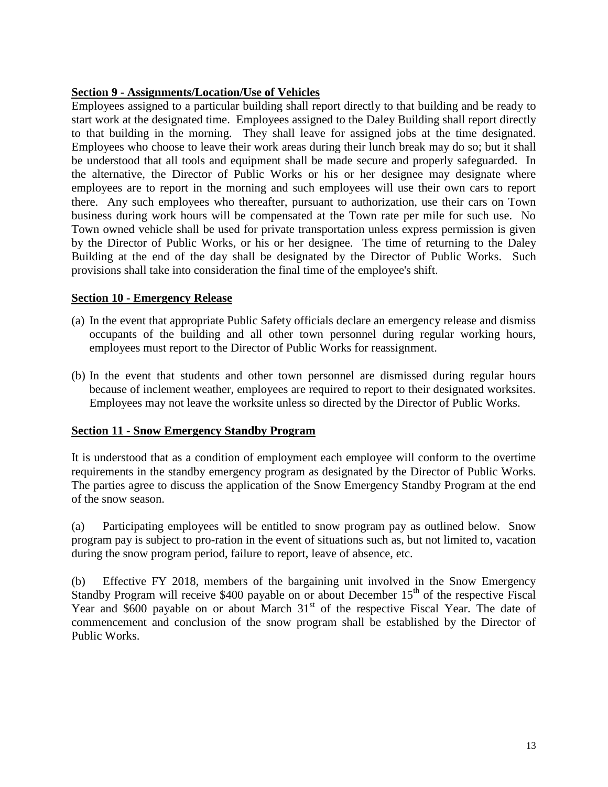# **Section 9 - Assignments/Location/Use of Vehicles**

Employees assigned to a particular building shall report directly to that building and be ready to start work at the designated time. Employees assigned to the Daley Building shall report directly to that building in the morning. They shall leave for assigned jobs at the time designated. Employees who choose to leave their work areas during their lunch break may do so; but it shall be understood that all tools and equipment shall be made secure and properly safeguarded. In the alternative, the Director of Public Works or his or her designee may designate where employees are to report in the morning and such employees will use their own cars to report there. Any such employees who thereafter, pursuant to authorization, use their cars on Town business during work hours will be compensated at the Town rate per mile for such use. No Town owned vehicle shall be used for private transportation unless express permission is given by the Director of Public Works, or his or her designee. The time of returning to the Daley Building at the end of the day shall be designated by the Director of Public Works. Such provisions shall take into consideration the final time of the employee's shift.

# **Section 10 - Emergency Release**

- (a) In the event that appropriate Public Safety officials declare an emergency release and dismiss occupants of the building and all other town personnel during regular working hours, employees must report to the Director of Public Works for reassignment.
- (b) In the event that students and other town personnel are dismissed during regular hours because of inclement weather, employees are required to report to their designated worksites. Employees may not leave the worksite unless so directed by the Director of Public Works.

### **Section 11 - Snow Emergency Standby Program**

It is understood that as a condition of employment each employee will conform to the overtime requirements in the standby emergency program as designated by the Director of Public Works. The parties agree to discuss the application of the Snow Emergency Standby Program at the end of the snow season.

(a) Participating employees will be entitled to snow program pay as outlined below. Snow program pay is subject to pro-ration in the event of situations such as, but not limited to, vacation during the snow program period, failure to report, leave of absence, etc.

(b) Effective FY 2018, members of the bargaining unit involved in the Snow Emergency Standby Program will receive \$400 payable on or about December  $15<sup>th</sup>$  of the respective Fiscal Year and  $$600$  payable on or about March  $31<sup>st</sup>$  of the respective Fiscal Year. The date of commencement and conclusion of the snow program shall be established by the Director of Public Works.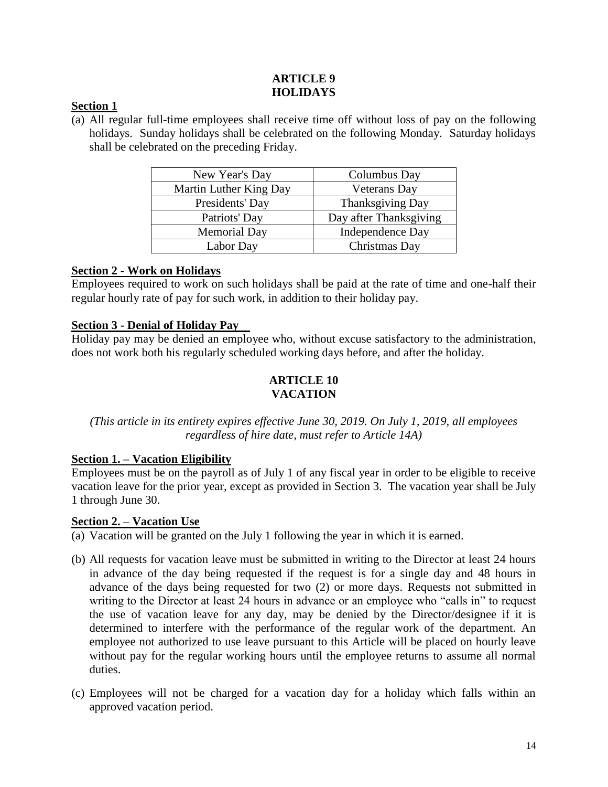# **ARTICLE 9 HOLIDAYS**

# <span id="page-13-0"></span>**Section 1**

(a) All regular full-time employees shall receive time off without loss of pay on the following holidays. Sunday holidays shall be celebrated on the following Monday. Saturday holidays shall be celebrated on the preceding Friday.

| New Year's Day         | Columbus Day            |
|------------------------|-------------------------|
| Martin Luther King Day | <b>Veterans Day</b>     |
| Presidents' Day        | Thanksgiving Day        |
| Patriots' Day          | Day after Thanksgiving  |
| <b>Memorial Day</b>    | <b>Independence Day</b> |
| Labor Day              | Christmas Day           |

# **Section 2 - Work on Holidays**

Employees required to work on such holidays shall be paid at the rate of time and one-half their regular hourly rate of pay for such work, in addition to their holiday pay.

# **Section 3 - Denial of Holiday Pay**

<span id="page-13-1"></span>Holiday pay may be denied an employee who, without excuse satisfactory to the administration, does not work both his regularly scheduled working days before, and after the holiday.

# **ARTICLE 10 VACATION**

# *(This article in its entirety expires effective June 30, 2019. On July 1, 2019, all employees regardless of hire date, must refer to Article 14A)*

### **Section 1. – Vacation Eligibility**

Employees must be on the payroll as of July 1 of any fiscal year in order to be eligible to receive vacation leave for the prior year, except as provided in Section 3. The vacation year shall be July 1 through June 30.

### **Section 2.** – **Vacation Use**

- (a) Vacation will be granted on the July 1 following the year in which it is earned.
- (b) All requests for vacation leave must be submitted in writing to the Director at least 24 hours in advance of the day being requested if the request is for a single day and 48 hours in advance of the days being requested for two (2) or more days. Requests not submitted in writing to the Director at least 24 hours in advance or an employee who "calls in" to request the use of vacation leave for any day, may be denied by the Director/designee if it is determined to interfere with the performance of the regular work of the department. An employee not authorized to use leave pursuant to this Article will be placed on hourly leave without pay for the regular working hours until the employee returns to assume all normal duties.
- (c) Employees will not be charged for a vacation day for a holiday which falls within an approved vacation period.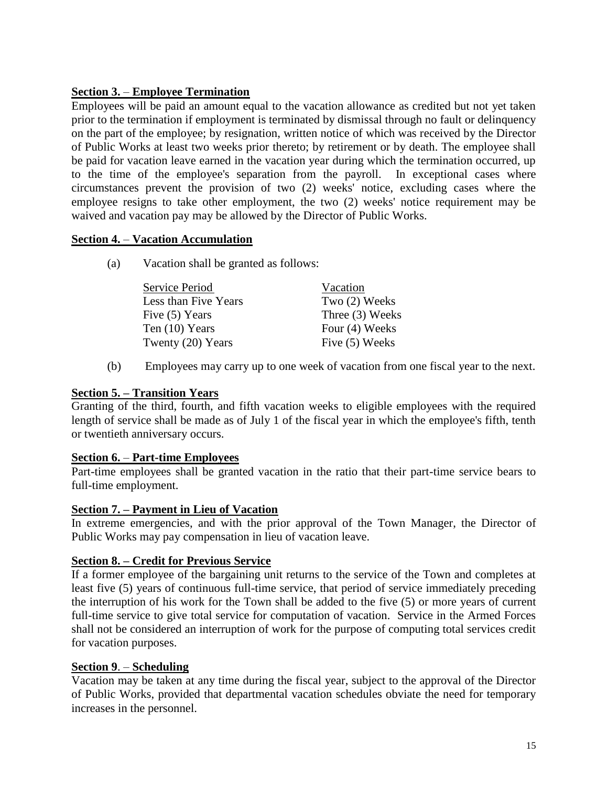# **Section 3.** – **Employee Termination**

Employees will be paid an amount equal to the vacation allowance as credited but not yet taken prior to the termination if employment is terminated by dismissal through no fault or delinquency on the part of the employee; by resignation, written notice of which was received by the Director of Public Works at least two weeks prior thereto; by retirement or by death. The employee shall be paid for vacation leave earned in the vacation year during which the termination occurred, up to the time of the employee's separation from the payroll. In exceptional cases where circumstances prevent the provision of two (2) weeks' notice, excluding cases where the employee resigns to take other employment, the two (2) weeks' notice requirement may be waived and vacation pay may be allowed by the Director of Public Works.

# **Section 4.** – **Vacation Accumulation**

(a) Vacation shall be granted as follows:

| Service Period       | Vacation        |
|----------------------|-----------------|
| Less than Five Years | Two (2) Weeks   |
| Five (5) Years       | Three (3) Weeks |
| Ten $(10)$ Years     | Four (4) Weeks  |
| Twenty (20) Years    | Five (5) Weeks  |

(b) Employees may carry up to one week of vacation from one fiscal year to the next.

# **Section 5. – Transition Years**

Granting of the third, fourth, and fifth vacation weeks to eligible employees with the required length of service shall be made as of July 1 of the fiscal year in which the employee's fifth, tenth or twentieth anniversary occurs.

# **Section 6.** – **Part-time Employees**

Part-time employees shall be granted vacation in the ratio that their part-time service bears to full-time employment.

# **Section 7. – Payment in Lieu of Vacation**

In extreme emergencies, and with the prior approval of the Town Manager, the Director of Public Works may pay compensation in lieu of vacation leave.

# **Section 8. – Credit for Previous Service**

If a former employee of the bargaining unit returns to the service of the Town and completes at least five (5) years of continuous full-time service, that period of service immediately preceding the interruption of his work for the Town shall be added to the five (5) or more years of current full-time service to give total service for computation of vacation. Service in the Armed Forces shall not be considered an interruption of work for the purpose of computing total services credit for vacation purposes.

# **Section 9**. – **Scheduling**

Vacation may be taken at any time during the fiscal year, subject to the approval of the Director of Public Works, provided that departmental vacation schedules obviate the need for temporary increases in the personnel.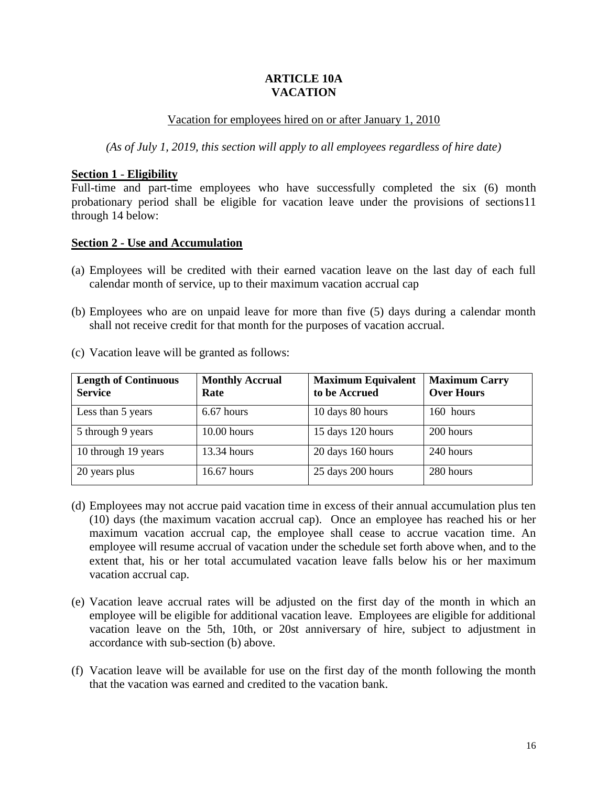### **ARTICLE 10A VACATION**

### Vacation for employees hired on or after January 1, 2010

*(As of July 1, 2019, this section will apply to all employees regardless of hire date)*

### **Section 1** - **Eligibility**

Full-time and part-time employees who have successfully completed the six (6) month probationary period shall be eligible for vacation leave under the provisions of sections11 through 14 below:

# **Section 2 - Use and Accumulation**

- (a) Employees will be credited with their earned vacation leave on the last day of each full calendar month of service, up to their maximum vacation accrual cap
- (b) Employees who are on unpaid leave for more than five (5) days during a calendar month shall not receive credit for that month for the purposes of vacation accrual.

| <b>Length of Continuous</b><br><b>Service</b> | <b>Monthly Accrual</b><br>Rate | <b>Maximum Equivalent</b><br>to be Accrued | <b>Maximum Carry</b><br><b>Over Hours</b> |
|-----------------------------------------------|--------------------------------|--------------------------------------------|-------------------------------------------|
| Less than 5 years                             | 6.67 hours                     | 10 days 80 hours                           | 160 hours                                 |
| 5 through 9 years                             | $10.00$ hours                  | 15 days 120 hours                          | 200 hours                                 |
| 10 through 19 years                           | 13.34 hours                    | 20 days 160 hours                          | 240 hours                                 |
| 20 years plus                                 | $16.67$ hours                  | 25 days 200 hours                          | 280 hours                                 |

(c) Vacation leave will be granted as follows:

- (d) Employees may not accrue paid vacation time in excess of their annual accumulation plus ten (10) days (the maximum vacation accrual cap). Once an employee has reached his or her maximum vacation accrual cap, the employee shall cease to accrue vacation time. An employee will resume accrual of vacation under the schedule set forth above when, and to the extent that, his or her total accumulated vacation leave falls below his or her maximum vacation accrual cap.
- (e) Vacation leave accrual rates will be adjusted on the first day of the month in which an employee will be eligible for additional vacation leave. Employees are eligible for additional vacation leave on the 5th, 10th, or 20st anniversary of hire, subject to adjustment in accordance with sub-section (b) above.
- (f) Vacation leave will be available for use on the first day of the month following the month that the vacation was earned and credited to the vacation bank.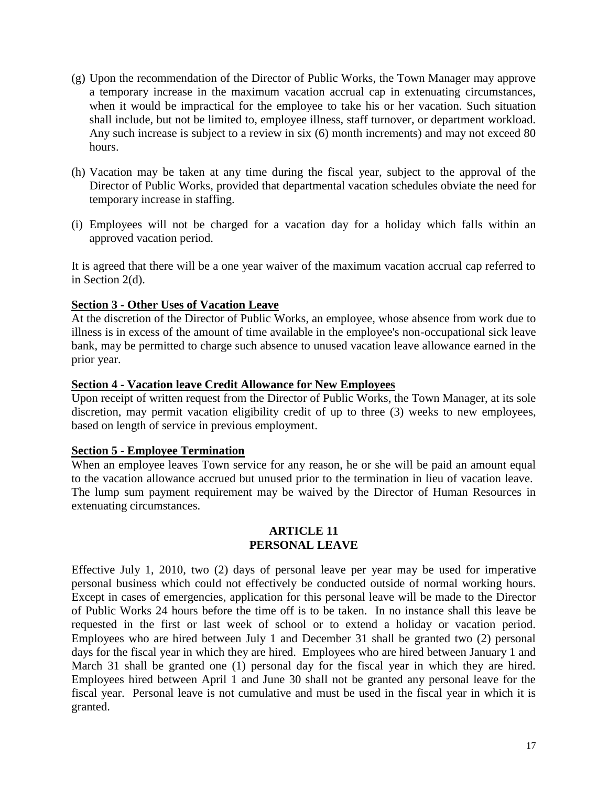- (g) Upon the recommendation of the Director of Public Works, the Town Manager may approve a temporary increase in the maximum vacation accrual cap in extenuating circumstances, when it would be impractical for the employee to take his or her vacation. Such situation shall include, but not be limited to, employee illness, staff turnover, or department workload. Any such increase is subject to a review in six (6) month increments) and may not exceed 80 hours.
- (h) Vacation may be taken at any time during the fiscal year, subject to the approval of the Director of Public Works, provided that departmental vacation schedules obviate the need for temporary increase in staffing.
- (i) Employees will not be charged for a vacation day for a holiday which falls within an approved vacation period.

It is agreed that there will be a one year waiver of the maximum vacation accrual cap referred to in Section 2(d).

# **Section 3 - Other Uses of Vacation Leave**

At the discretion of the Director of Public Works, an employee, whose absence from work due to illness is in excess of the amount of time available in the employee's non-occupational sick leave bank, may be permitted to charge such absence to unused vacation leave allowance earned in the prior year.

### **Section 4 - Vacation leave Credit Allowance for New Employees**

Upon receipt of written request from the Director of Public Works, the Town Manager, at its sole discretion, may permit vacation eligibility credit of up to three (3) weeks to new employees, based on length of service in previous employment.

### **Section 5 - Employee Termination**

When an employee leaves Town service for any reason, he or she will be paid an amount equal to the vacation allowance accrued but unused prior to the termination in lieu of vacation leave. The lump sum payment requirement may be waived by the Director of Human Resources in extenuating circumstances.

#### **ARTICLE 11 PERSONAL LEAVE**

<span id="page-16-0"></span>Effective July 1, 2010, two (2) days of personal leave per year may be used for imperative personal business which could not effectively be conducted outside of normal working hours. Except in cases of emergencies, application for this personal leave will be made to the Director of Public Works 24 hours before the time off is to be taken. In no instance shall this leave be requested in the first or last week of school or to extend a holiday or vacation period. Employees who are hired between July 1 and December 31 shall be granted two (2) personal days for the fiscal year in which they are hired. Employees who are hired between January 1 and March 31 shall be granted one (1) personal day for the fiscal year in which they are hired. Employees hired between April 1 and June 30 shall not be granted any personal leave for the fiscal year. Personal leave is not cumulative and must be used in the fiscal year in which it is granted.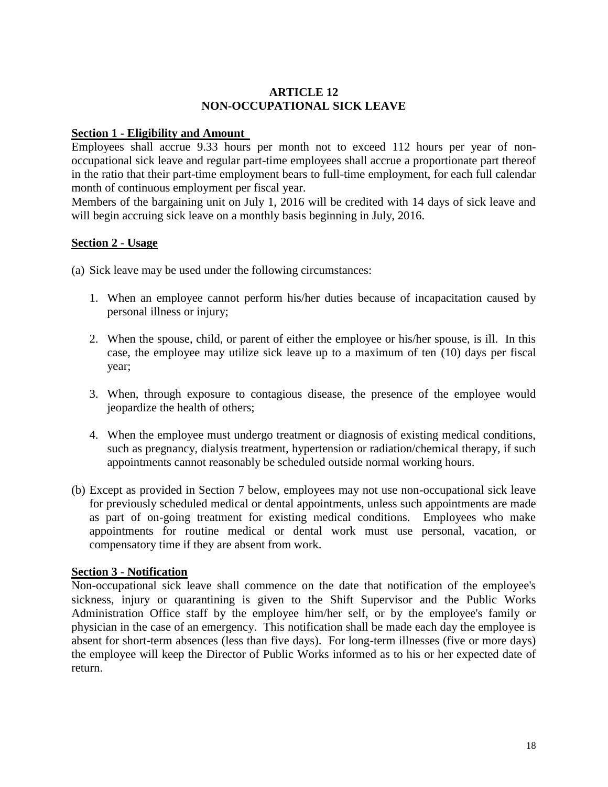# <span id="page-17-0"></span>**ARTICLE 12 NON-OCCUPATIONAL SICK LEAVE**

### **Section 1 - Eligibility and Amount**

Employees shall accrue 9.33 hours per month not to exceed 112 hours per year of nonoccupational sick leave and regular part-time employees shall accrue a proportionate part thereof in the ratio that their part-time employment bears to full-time employment, for each full calendar month of continuous employment per fiscal year.

Members of the bargaining unit on July 1, 2016 will be credited with 14 days of sick leave and will begin accruing sick leave on a monthly basis beginning in July, 2016.

# **Section 2** - **Usage**

(a) Sick leave may be used under the following circumstances:

- 1. When an employee cannot perform his/her duties because of incapacitation caused by personal illness or injury;
- 2. When the spouse, child, or parent of either the employee or his/her spouse, is ill. In this case, the employee may utilize sick leave up to a maximum of ten (10) days per fiscal year;
- 3. When, through exposure to contagious disease, the presence of the employee would jeopardize the health of others;
- 4. When the employee must undergo treatment or diagnosis of existing medical conditions, such as pregnancy, dialysis treatment, hypertension or radiation/chemical therapy, if such appointments cannot reasonably be scheduled outside normal working hours.
- (b) Except as provided in Section 7 below, employees may not use non-occupational sick leave for previously scheduled medical or dental appointments, unless such appointments are made as part of on-going treatment for existing medical conditions. Employees who make appointments for routine medical or dental work must use personal, vacation, or compensatory time if they are absent from work.

### **Section 3** - **Notification**

Non-occupational sick leave shall commence on the date that notification of the employee's sickness, injury or quarantining is given to the Shift Supervisor and the Public Works Administration Office staff by the employee him/her self, or by the employee's family or physician in the case of an emergency. This notification shall be made each day the employee is absent for short-term absences (less than five days). For long-term illnesses (five or more days) the employee will keep the Director of Public Works informed as to his or her expected date of return.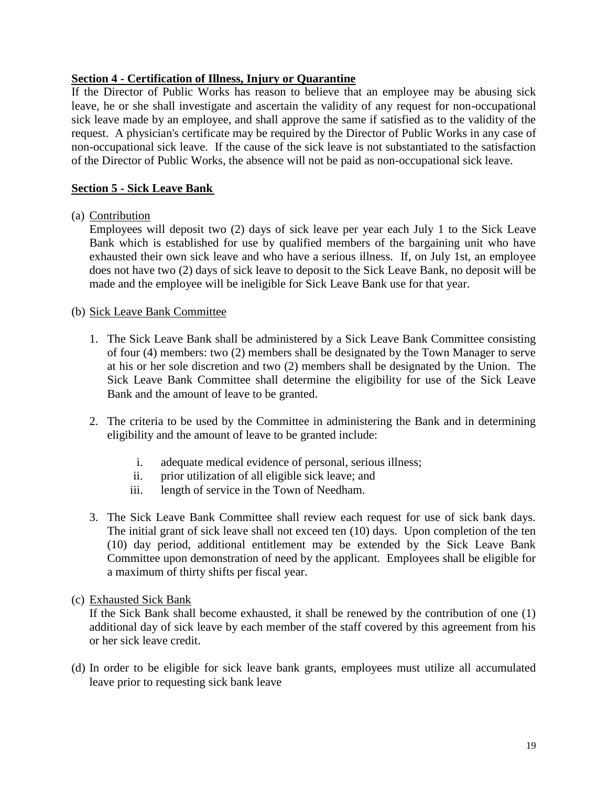# **Section 4 - Certification of Illness, Injury or Quarantine**

If the Director of Public Works has reason to believe that an employee may be abusing sick leave, he or she shall investigate and ascertain the validity of any request for non-occupational sick leave made by an employee, and shall approve the same if satisfied as to the validity of the request. A physician's certificate may be required by the Director of Public Works in any case of non-occupational sick leave. If the cause of the sick leave is not substantiated to the satisfaction of the Director of Public Works, the absence will not be paid as non-occupational sick leave.

# **Section 5 - Sick Leave Bank**

# (a) Contribution

Employees will deposit two (2) days of sick leave per year each July 1 to the Sick Leave Bank which is established for use by qualified members of the bargaining unit who have exhausted their own sick leave and who have a serious illness. If, on July 1st, an employee does not have two (2) days of sick leave to deposit to the Sick Leave Bank, no deposit will be made and the employee will be ineligible for Sick Leave Bank use for that year.

# (b) Sick Leave Bank Committee

- 1. The Sick Leave Bank shall be administered by a Sick Leave Bank Committee consisting of four (4) members: two (2) members shall be designated by the Town Manager to serve at his or her sole discretion and two (2) members shall be designated by the Union. The Sick Leave Bank Committee shall determine the eligibility for use of the Sick Leave Bank and the amount of leave to be granted.
- 2. The criteria to be used by the Committee in administering the Bank and in determining eligibility and the amount of leave to be granted include:
	- i. adequate medical evidence of personal, serious illness;
	- ii. prior utilization of all eligible sick leave; and
	- iii. length of service in the Town of Needham.
- 3. The Sick Leave Bank Committee shall review each request for use of sick bank days. The initial grant of sick leave shall not exceed ten (10) days. Upon completion of the ten (10) day period, additional entitlement may be extended by the Sick Leave Bank Committee upon demonstration of need by the applicant. Employees shall be eligible for a maximum of thirty shifts per fiscal year.
- (c) Exhausted Sick Bank

If the Sick Bank shall become exhausted, it shall be renewed by the contribution of one (1) additional day of sick leave by each member of the staff covered by this agreement from his or her sick leave credit.

(d) In order to be eligible for sick leave bank grants, employees must utilize all accumulated leave prior to requesting sick bank leave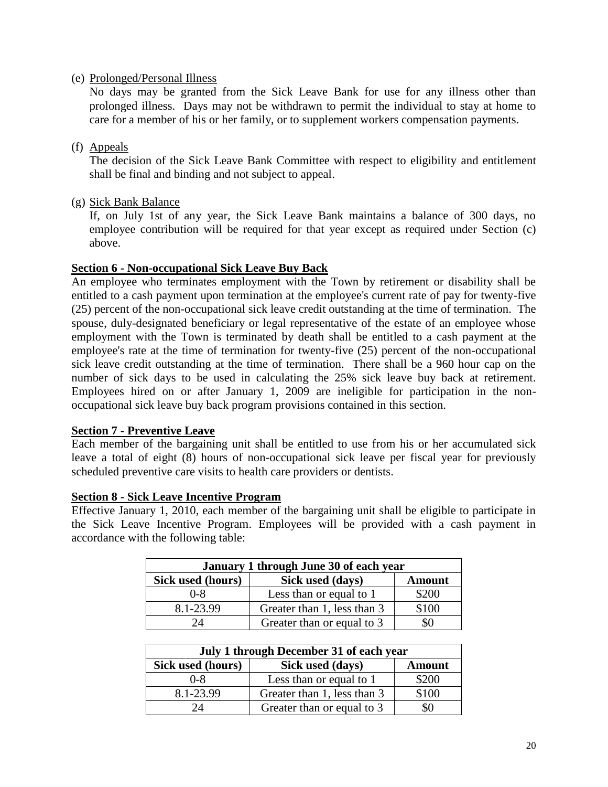(e) Prolonged/Personal Illness

No days may be granted from the Sick Leave Bank for use for any illness other than prolonged illness. Days may not be withdrawn to permit the individual to stay at home to care for a member of his or her family, or to supplement workers compensation payments.

(f) Appeals

The decision of the Sick Leave Bank Committee with respect to eligibility and entitlement shall be final and binding and not subject to appeal.

(g) Sick Bank Balance

If, on July 1st of any year, the Sick Leave Bank maintains a balance of 300 days, no employee contribution will be required for that year except as required under Section (c) above.

# **Section 6 - Non-occupational Sick Leave Buy Back**

An employee who terminates employment with the Town by retirement or disability shall be entitled to a cash payment upon termination at the employee's current rate of pay for twenty-five (25) percent of the non-occupational sick leave credit outstanding at the time of termination. The spouse, duly-designated beneficiary or legal representative of the estate of an employee whose employment with the Town is terminated by death shall be entitled to a cash payment at the employee's rate at the time of termination for twenty-five (25) percent of the non-occupational sick leave credit outstanding at the time of termination. There shall be a 960 hour cap on the number of sick days to be used in calculating the 25% sick leave buy back at retirement. Employees hired on or after January 1, 2009 are ineligible for participation in the nonoccupational sick leave buy back program provisions contained in this section.

### **Section 7 - Preventive Leave**

Each member of the bargaining unit shall be entitled to use from his or her accumulated sick leave a total of eight (8) hours of non-occupational sick leave per fiscal year for previously scheduled preventive care visits to health care providers or dentists.

# **Section 8 - Sick Leave Incentive Program**

Effective January 1, 2010, each member of the bargaining unit shall be eligible to participate in the Sick Leave Incentive Program. Employees will be provided with a cash payment in accordance with the following table:

| January 1 through June 30 of each year                 |                             |       |  |  |
|--------------------------------------------------------|-----------------------------|-------|--|--|
| Sick used (hours)<br>Sick used (days)<br><b>Amount</b> |                             |       |  |  |
| 0-8                                                    | Less than or equal to 1     | \$200 |  |  |
| 8.1-23.99                                              | Greater than 1, less than 3 | \$100 |  |  |
|                                                        | Greater than or equal to 3  |       |  |  |

| July 1 through December 31 of each year                |                             |       |  |  |
|--------------------------------------------------------|-----------------------------|-------|--|--|
| Sick used (hours)<br>Sick used (days)<br><b>Amount</b> |                             |       |  |  |
| $0 - 8$                                                | Less than or equal to 1     | \$200 |  |  |
| 8.1-23.99                                              | Greater than 1, less than 3 | \$100 |  |  |
| $2\pi$                                                 | Greater than or equal to 3  |       |  |  |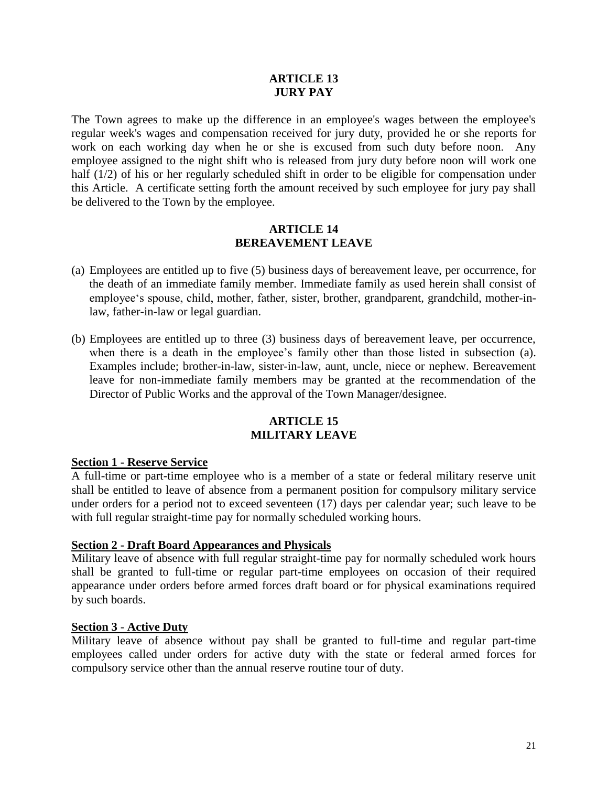# **ARTICLE 13 JURY PAY**

<span id="page-20-0"></span>The Town agrees to make up the difference in an employee's wages between the employee's regular week's wages and compensation received for jury duty, provided he or she reports for work on each working day when he or she is excused from such duty before noon. Any employee assigned to the night shift who is released from jury duty before noon will work one half (1/2) of his or her regularly scheduled shift in order to be eligible for compensation under this Article. A certificate setting forth the amount received by such employee for jury pay shall be delivered to the Town by the employee.

# **ARTICLE 14 BEREAVEMENT LEAVE**

- <span id="page-20-1"></span>(a) Employees are entitled up to five (5) business days of bereavement leave, per occurrence, for the death of an immediate family member. Immediate family as used herein shall consist of employee's spouse, child, mother, father, sister, brother, grandparent, grandchild, mother-inlaw, father-in-law or legal guardian.
- (b) Employees are entitled up to three (3) business days of bereavement leave, per occurrence, when there is a death in the employee's family other than those listed in subsection (a). Examples include; brother-in-law, sister-in-law, aunt, uncle, niece or nephew. Bereavement leave for non-immediate family members may be granted at the recommendation of the Director of Public Works and the approval of the Town Manager/designee.

### **ARTICLE 15 MILITARY LEAVE**

### <span id="page-20-2"></span>**Section 1 - Reserve Service**

A full-time or part-time employee who is a member of a state or federal military reserve unit shall be entitled to leave of absence from a permanent position for compulsory military service under orders for a period not to exceed seventeen (17) days per calendar year; such leave to be with full regular straight-time pay for normally scheduled working hours.

### **Section 2 - Draft Board Appearances and Physicals**

Military leave of absence with full regular straight-time pay for normally scheduled work hours shall be granted to full-time or regular part-time employees on occasion of their required appearance under orders before armed forces draft board or for physical examinations required by such boards.

### **Section 3** - **Active Duty**

Military leave of absence without pay shall be granted to full-time and regular part-time employees called under orders for active duty with the state or federal armed forces for compulsory service other than the annual reserve routine tour of duty.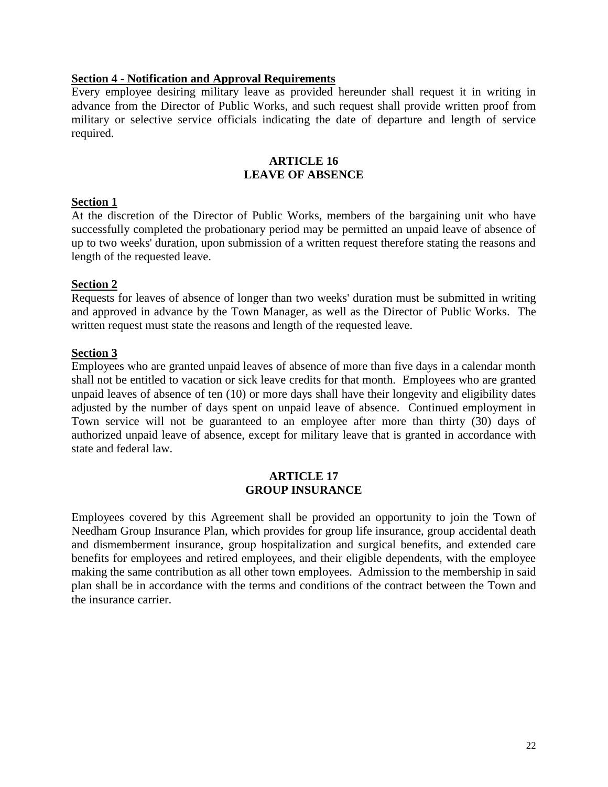### **Section 4 - Notification and Approval Requirements**

Every employee desiring military leave as provided hereunder shall request it in writing in advance from the Director of Public Works, and such request shall provide written proof from military or selective service officials indicating the date of departure and length of service required.

# **ARTICLE 16 LEAVE OF ABSENCE**

### <span id="page-21-0"></span>**Section 1**

At the discretion of the Director of Public Works, members of the bargaining unit who have successfully completed the probationary period may be permitted an unpaid leave of absence of up to two weeks' duration, upon submission of a written request therefore stating the reasons and length of the requested leave.

#### **Section 2**

Requests for leaves of absence of longer than two weeks' duration must be submitted in writing and approved in advance by the Town Manager, as well as the Director of Public Works. The written request must state the reasons and length of the requested leave.

#### **Section 3**

Employees who are granted unpaid leaves of absence of more than five days in a calendar month shall not be entitled to vacation or sick leave credits for that month. Employees who are granted unpaid leaves of absence of ten (10) or more days shall have their longevity and eligibility dates adjusted by the number of days spent on unpaid leave of absence. Continued employment in Town service will not be guaranteed to an employee after more than thirty (30) days of authorized unpaid leave of absence, except for military leave that is granted in accordance with state and federal law.

# **ARTICLE 17 GROUP INSURANCE**

<span id="page-21-1"></span>Employees covered by this Agreement shall be provided an opportunity to join the Town of Needham Group Insurance Plan, which provides for group life insurance, group accidental death and dismemberment insurance, group hospitalization and surgical benefits, and extended care benefits for employees and retired employees, and their eligible dependents, with the employee making the same contribution as all other town employees. Admission to the membership in said plan shall be in accordance with the terms and conditions of the contract between the Town and the insurance carrier.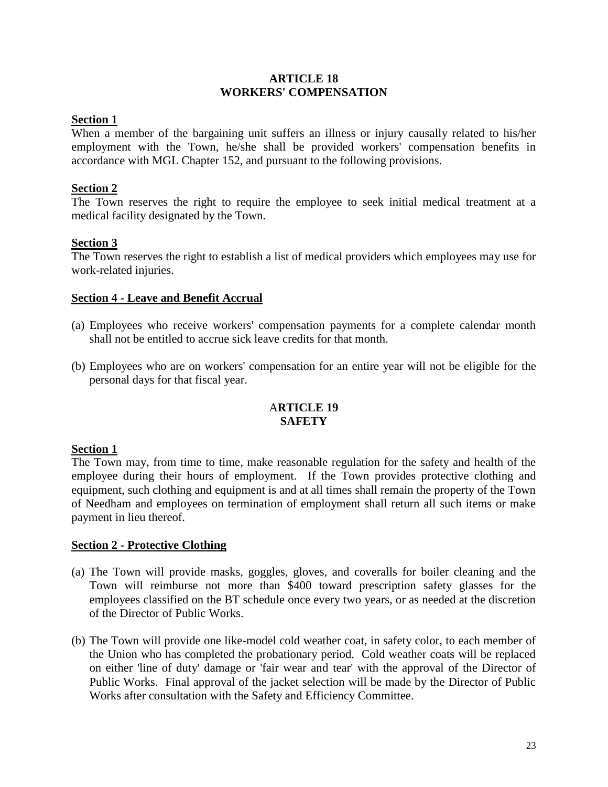### **ARTICLE 18 WORKERS' COMPENSATION**

# <span id="page-22-0"></span>**Section 1**

When a member of the bargaining unit suffers an illness or injury causally related to his/her employment with the Town, he/she shall be provided workers' compensation benefits in accordance with MGL Chapter 152, and pursuant to the following provisions.

# **Section 2**

The Town reserves the right to require the employee to seek initial medical treatment at a medical facility designated by the Town.

# **Section 3**

The Town reserves the right to establish a list of medical providers which employees may use for work-related injuries.

### **Section 4 - Leave and Benefit Accrual**

- (a) Employees who receive workers' compensation payments for a complete calendar month shall not be entitled to accrue sick leave credits for that month.
- <span id="page-22-1"></span>(b) Employees who are on workers' compensation for an entire year will not be eligible for the personal days for that fiscal year.

# A**RTICLE 19 SAFETY**

### **Section 1**

The Town may, from time to time, make reasonable regulation for the safety and health of the employee during their hours of employment. If the Town provides protective clothing and equipment, such clothing and equipment is and at all times shall remain the property of the Town of Needham and employees on termination of employment shall return all such items or make payment in lieu thereof.

### **Section 2 - Protective Clothing**

- (a) The Town will provide masks, goggles, gloves, and coveralls for boiler cleaning and the Town will reimburse not more than \$400 toward prescription safety glasses for the employees classified on the BT schedule once every two years, or as needed at the discretion of the Director of Public Works.
- (b) The Town will provide one like-model cold weather coat, in safety color, to each member of the Union who has completed the probationary period. Cold weather coats will be replaced on either 'line of duty' damage or 'fair wear and tear' with the approval of the Director of Public Works. Final approval of the jacket selection will be made by the Director of Public Works after consultation with the Safety and Efficiency Committee.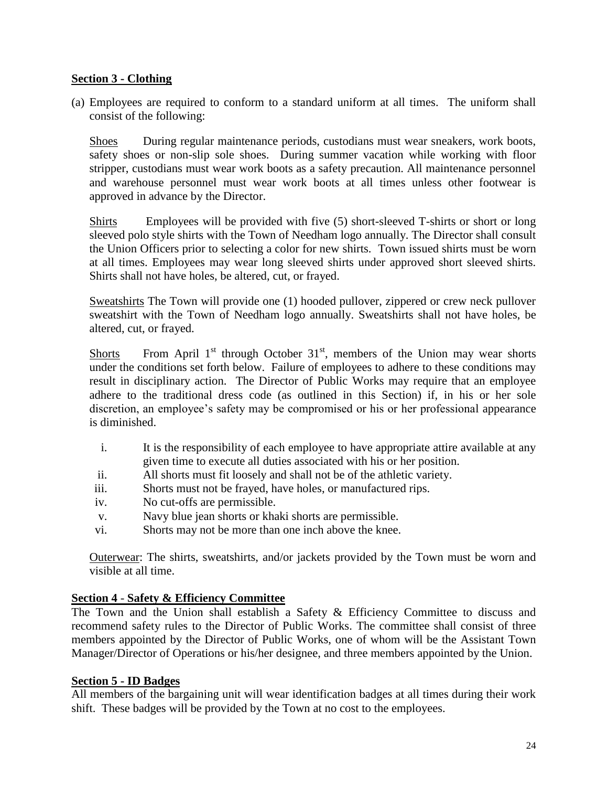# **Section 3 - Clothing**

(a) Employees are required to conform to a standard uniform at all times. The uniform shall consist of the following:

Shoes During regular maintenance periods, custodians must wear sneakers, work boots, safety shoes or non-slip sole shoes. During summer vacation while working with floor stripper, custodians must wear work boots as a safety precaution. All maintenance personnel and warehouse personnel must wear work boots at all times unless other footwear is approved in advance by the Director.

Shirts Employees will be provided with five (5) short-sleeved T-shirts or short or long sleeved polo style shirts with the Town of Needham logo annually. The Director shall consult the Union Officers prior to selecting a color for new shirts. Town issued shirts must be worn at all times. Employees may wear long sleeved shirts under approved short sleeved shirts. Shirts shall not have holes, be altered, cut, or frayed.

Sweatshirts The Town will provide one (1) hooded pullover, zippered or crew neck pullover sweatshirt with the Town of Needham logo annually. Sweatshirts shall not have holes, be altered, cut, or frayed.

Shorts From April  $1<sup>st</sup>$  through October  $31<sup>st</sup>$ , members of the Union may wear shorts under the conditions set forth below. Failure of employees to adhere to these conditions may result in disciplinary action. The Director of Public Works may require that an employee adhere to the traditional dress code (as outlined in this Section) if, in his or her sole discretion, an employee's safety may be compromised or his or her professional appearance is diminished.

- i. It is the responsibility of each employee to have appropriate attire available at any given time to execute all duties associated with his or her position.
- ii. All shorts must fit loosely and shall not be of the athletic variety.
- iii. Shorts must not be frayed, have holes, or manufactured rips.
- iv. No cut-offs are permissible.
- v. Navy blue jean shorts or khaki shorts are permissible.
- vi. Shorts may not be more than one inch above the knee.

Outerwear: The shirts, sweatshirts, and/or jackets provided by the Town must be worn and visible at all time.

# **Section 4** - **Safety & Efficiency Committee**

The Town and the Union shall establish a Safety & Efficiency Committee to discuss and recommend safety rules to the Director of Public Works. The committee shall consist of three members appointed by the Director of Public Works, one of whom will be the Assistant Town Manager/Director of Operations or his/her designee, and three members appointed by the Union.

### **Section 5 - ID Badges**

All members of the bargaining unit will wear identification badges at all times during their work shift. These badges will be provided by the Town at no cost to the employees.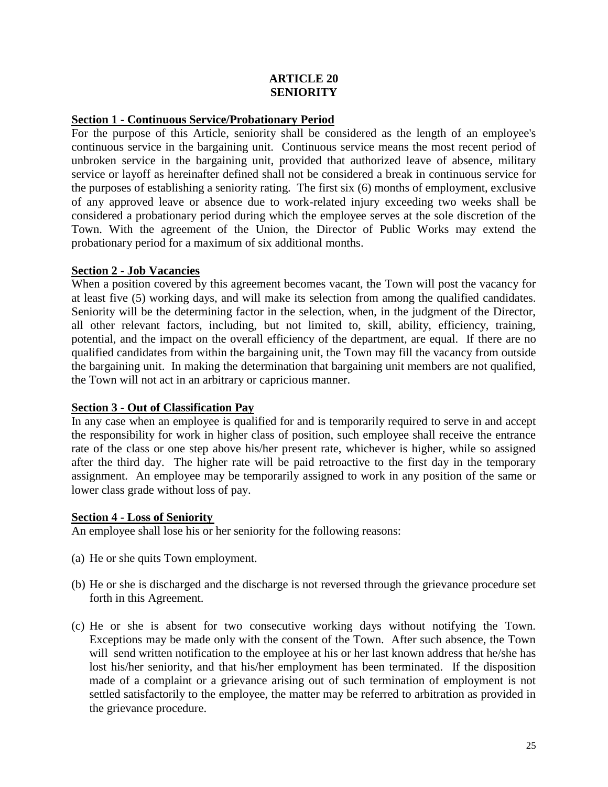# **ARTICLE 20 SENIORITY**

### <span id="page-24-0"></span>**Section 1 - Continuous Service/Probationary Period**

For the purpose of this Article, seniority shall be considered as the length of an employee's continuous service in the bargaining unit. Continuous service means the most recent period of unbroken service in the bargaining unit, provided that authorized leave of absence, military service or layoff as hereinafter defined shall not be considered a break in continuous service for the purposes of establishing a seniority rating. The first six (6) months of employment, exclusive of any approved leave or absence due to work-related injury exceeding two weeks shall be considered a probationary period during which the employee serves at the sole discretion of the Town. With the agreement of the Union, the Director of Public Works may extend the probationary period for a maximum of six additional months.

# **Section 2 - Job Vacancies**

When a position covered by this agreement becomes vacant, the Town will post the vacancy for at least five (5) working days, and will make its selection from among the qualified candidates. Seniority will be the determining factor in the selection, when, in the judgment of the Director, all other relevant factors, including, but not limited to, skill, ability, efficiency, training, potential, and the impact on the overall efficiency of the department, are equal. If there are no qualified candidates from within the bargaining unit, the Town may fill the vacancy from outside the bargaining unit. In making the determination that bargaining unit members are not qualified, the Town will not act in an arbitrary or capricious manner.

# **Section 3 - Out of Classification Pay**

In any case when an employee is qualified for and is temporarily required to serve in and accept the responsibility for work in higher class of position, such employee shall receive the entrance rate of the class or one step above his/her present rate, whichever is higher, while so assigned after the third day. The higher rate will be paid retroactive to the first day in the temporary assignment. An employee may be temporarily assigned to work in any position of the same or lower class grade without loss of pay.

### **Section 4 - Loss of Seniority**

An employee shall lose his or her seniority for the following reasons:

- (a) He or she quits Town employment.
- (b) He or she is discharged and the discharge is not reversed through the grievance procedure set forth in this Agreement.
- (c) He or she is absent for two consecutive working days without notifying the Town. Exceptions may be made only with the consent of the Town. After such absence, the Town will send written notification to the employee at his or her last known address that he/she has lost his/her seniority, and that his/her employment has been terminated. If the disposition made of a complaint or a grievance arising out of such termination of employment is not settled satisfactorily to the employee, the matter may be referred to arbitration as provided in the grievance procedure.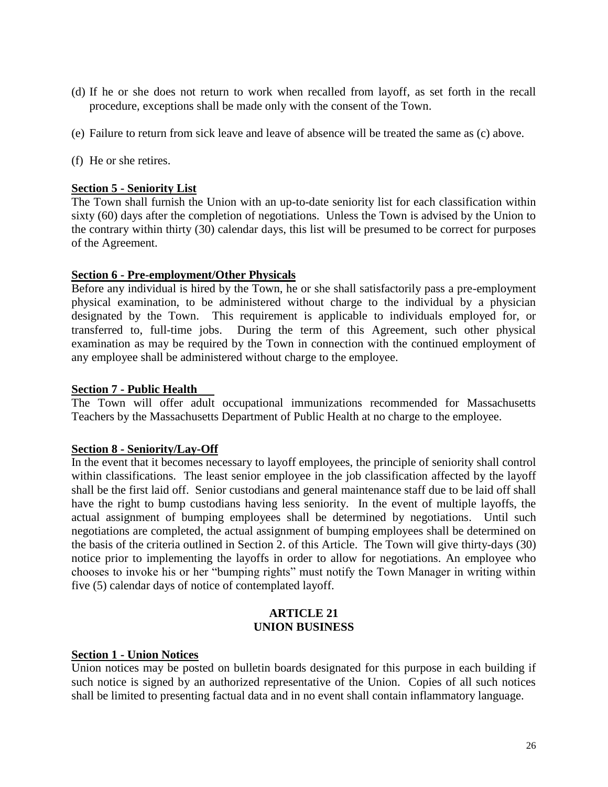- (d) If he or she does not return to work when recalled from layoff, as set forth in the recall procedure, exceptions shall be made only with the consent of the Town.
- (e) Failure to return from sick leave and leave of absence will be treated the same as (c) above.
- (f) He or she retires.

### **Section 5 - Seniority List**

The Town shall furnish the Union with an up-to-date seniority list for each classification within sixty (60) days after the completion of negotiations. Unless the Town is advised by the Union to the contrary within thirty (30) calendar days, this list will be presumed to be correct for purposes of the Agreement.

### **Section 6 - Pre-employment/Other Physicals**

Before any individual is hired by the Town, he or she shall satisfactorily pass a pre-employment physical examination, to be administered without charge to the individual by a physician designated by the Town. This requirement is applicable to individuals employed for, or transferred to, full-time jobs. During the term of this Agreement, such other physical examination as may be required by the Town in connection with the continued employment of any employee shall be administered without charge to the employee.

# **Section 7 - Public Health**

The Town will offer adult occupational immunizations recommended for Massachusetts Teachers by the Massachusetts Department of Public Health at no charge to the employee.

### **Section 8 - Seniority/Lay-Off**

In the event that it becomes necessary to layoff employees, the principle of seniority shall control within classifications. The least senior employee in the job classification affected by the layoff shall be the first laid off. Senior custodians and general maintenance staff due to be laid off shall have the right to bump custodians having less seniority. In the event of multiple layoffs, the actual assignment of bumping employees shall be determined by negotiations. Until such negotiations are completed, the actual assignment of bumping employees shall be determined on the basis of the criteria outlined in Section 2. of this Article. The Town will give thirty-days (30) notice prior to implementing the layoffs in order to allow for negotiations. An employee who chooses to invoke his or her "bumping rights" must notify the Town Manager in writing within five (5) calendar days of notice of contemplated layoff.

#### **ARTICLE 21 UNION BUSINESS**

### <span id="page-25-0"></span>**Section 1 - Union Notices**

Union notices may be posted on bulletin boards designated for this purpose in each building if such notice is signed by an authorized representative of the Union. Copies of all such notices shall be limited to presenting factual data and in no event shall contain inflammatory language.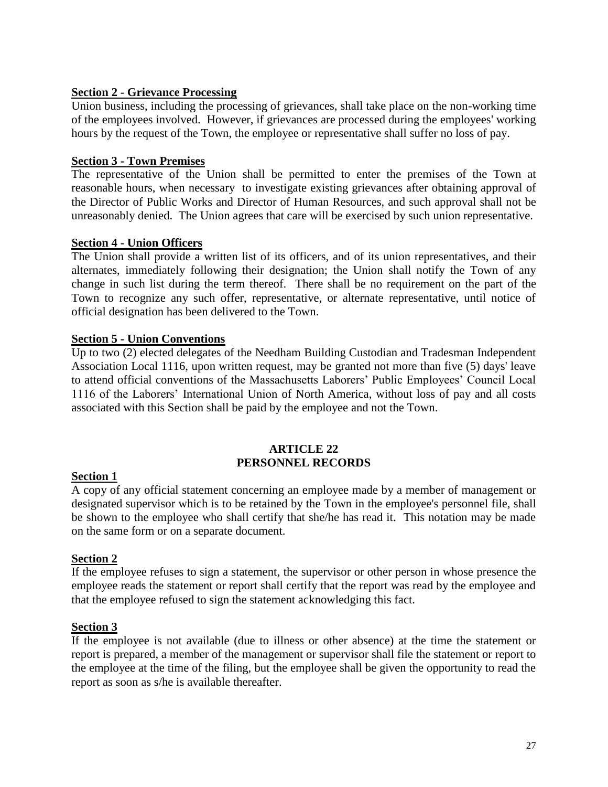# **Section 2 - Grievance Processing**

Union business, including the processing of grievances, shall take place on the non-working time of the employees involved. However, if grievances are processed during the employees' working hours by the request of the Town, the employee or representative shall suffer no loss of pay.

# **Section 3 - Town Premises**

The representative of the Union shall be permitted to enter the premises of the Town at reasonable hours, when necessary to investigate existing grievances after obtaining approval of the Director of Public Works and Director of Human Resources, and such approval shall not be unreasonably denied. The Union agrees that care will be exercised by such union representative.

# **Section 4 - Union Officers**

The Union shall provide a written list of its officers, and of its union representatives, and their alternates, immediately following their designation; the Union shall notify the Town of any change in such list during the term thereof. There shall be no requirement on the part of the Town to recognize any such offer, representative, or alternate representative, until notice of official designation has been delivered to the Town.

# **Section 5 - Union Conventions**

Up to two (2) elected delegates of the Needham Building Custodian and Tradesman Independent Association Local 1116, upon written request, may be granted not more than five (5) days' leave to attend official conventions of the Massachusetts Laborers' Public Employees' Council Local 1116 of the Laborers' International Union of North America, without loss of pay and all costs associated with this Section shall be paid by the employee and not the Town.

#### **ARTICLE 22 PERSONNEL RECORDS**

# <span id="page-26-0"></span>**Section 1**

A copy of any official statement concerning an employee made by a member of management or designated supervisor which is to be retained by the Town in the employee's personnel file, shall be shown to the employee who shall certify that she/he has read it. This notation may be made on the same form or on a separate document.

### **Section 2**

If the employee refuses to sign a statement, the supervisor or other person in whose presence the employee reads the statement or report shall certify that the report was read by the employee and that the employee refused to sign the statement acknowledging this fact.

### **Section 3**

If the employee is not available (due to illness or other absence) at the time the statement or report is prepared, a member of the management or supervisor shall file the statement or report to the employee at the time of the filing, but the employee shall be given the opportunity to read the report as soon as s/he is available thereafter.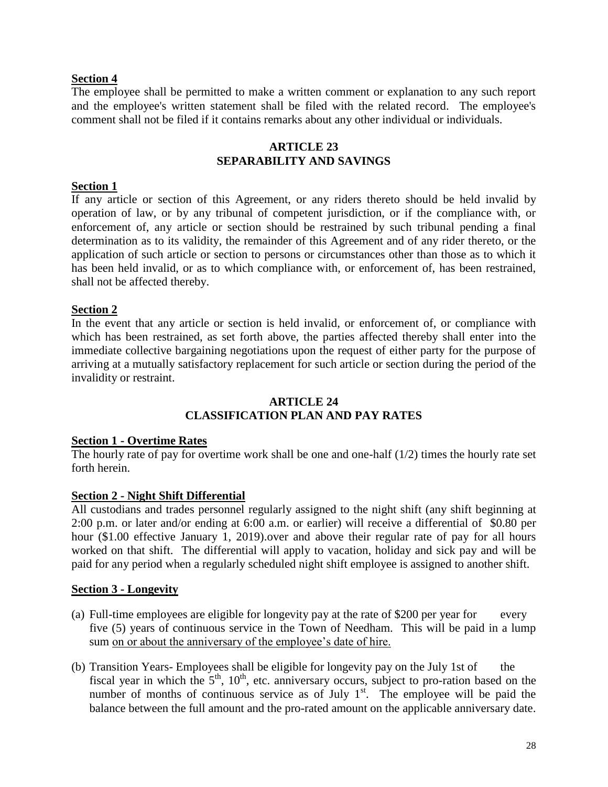# **Section 4**

The employee shall be permitted to make a written comment or explanation to any such report and the employee's written statement shall be filed with the related record. The employee's comment shall not be filed if it contains remarks about any other individual or individuals.

### **ARTICLE 23 SEPARABILITY AND SAVINGS**

### <span id="page-27-0"></span>**Section 1**

If any article or section of this Agreement, or any riders thereto should be held invalid by operation of law, or by any tribunal of competent jurisdiction, or if the compliance with, or enforcement of, any article or section should be restrained by such tribunal pending a final determination as to its validity, the remainder of this Agreement and of any rider thereto, or the application of such article or section to persons or circumstances other than those as to which it has been held invalid, or as to which compliance with, or enforcement of, has been restrained, shall not be affected thereby.

### **Section 2**

In the event that any article or section is held invalid, or enforcement of, or compliance with which has been restrained, as set forth above, the parties affected thereby shall enter into the immediate collective bargaining negotiations upon the request of either party for the purpose of arriving at a mutually satisfactory replacement for such article or section during the period of the invalidity or restraint.

#### **ARTICLE 24 CLASSIFICATION PLAN AND PAY RATES**

### <span id="page-27-1"></span>**Section 1 - Overtime Rates**

The hourly rate of pay for overtime work shall be one and one-half  $(1/2)$  times the hourly rate set forth herein.

### **Section 2 - Night Shift Differential**

All custodians and trades personnel regularly assigned to the night shift (any shift beginning at 2:00 p.m. or later and/or ending at 6:00 a.m. or earlier) will receive a differential of \$0.80 per hour (\$1.00 effective January 1, 2019).over and above their regular rate of pay for all hours worked on that shift. The differential will apply to vacation, holiday and sick pay and will be paid for any period when a regularly scheduled night shift employee is assigned to another shift.

### **Section 3 - Longevity**

- (a) Full-time employees are eligible for longevity pay at the rate of \$200 per year for every five (5) years of continuous service in the Town of Needham. This will be paid in a lump sum on or about the anniversary of the employee's date of hire.
- (b) Transition Years- Employees shall be eligible for longevity pay on the July 1st of the fiscal year in which the  $5<sup>th</sup>$ , 10<sup>th</sup>, etc. anniversary occurs, subject to pro-ration based on the number of months of continuous service as of July  $1<sup>st</sup>$ . The employee will be paid the balance between the full amount and the pro-rated amount on the applicable anniversary date.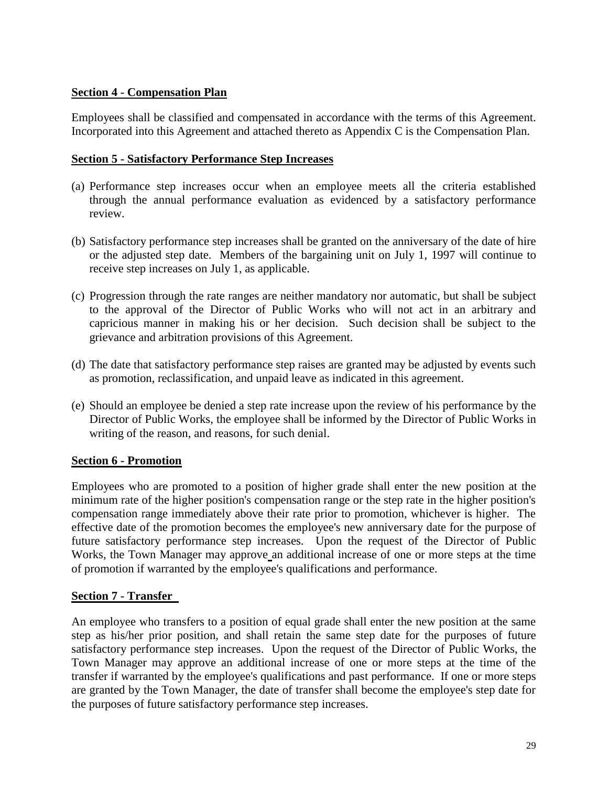# **Section 4 - Compensation Plan**

Employees shall be classified and compensated in accordance with the terms of this Agreement. Incorporated into this Agreement and attached thereto as Appendix C is the Compensation Plan.

# **Section 5 - Satisfactory Performance Step Increases**

- (a) Performance step increases occur when an employee meets all the criteria established through the annual performance evaluation as evidenced by a satisfactory performance review.
- (b) Satisfactory performance step increases shall be granted on the anniversary of the date of hire or the adjusted step date.Members of the bargaining unit on July 1, 1997 will continue to receive step increases on July 1, as applicable.
- (c) Progression through the rate ranges are neither mandatory nor automatic, but shall be subject to the approval of the Director of Public Works who will not act in an arbitrary and capricious manner in making his or her decision. Such decision shall be subject to the grievance and arbitration provisions of this Agreement.
- (d) The date that satisfactory performance step raises are granted may be adjusted by events such as promotion, reclassification, and unpaid leave as indicated in this agreement.
- (e) Should an employee be denied a step rate increase upon the review of his performance by the Director of Public Works, the employee shall be informed by the Director of Public Works in writing of the reason, and reasons, for such denial.

# **Section 6 - Promotion**

Employees who are promoted to a position of higher grade shall enter the new position at the minimum rate of the higher position's compensation range or the step rate in the higher position's compensation range immediately above their rate prior to promotion, whichever is higher. The effective date of the promotion becomes the employee's new anniversary date for the purpose of future satisfactory performance step increases. Upon the request of the Director of Public Works, the Town Manager may approve an additional increase of one or more steps at the time of promotion if warranted by the employee's qualifications and performance.

# **Section 7 - Transfer**

An employee who transfers to a position of equal grade shall enter the new position at the same step as his/her prior position, and shall retain the same step date for the purposes of future satisfactory performance step increases. Upon the request of the Director of Public Works, the Town Manager may approve an additional increase of one or more steps at the time of the transfer if warranted by the employee's qualifications and past performance. If one or more steps are granted by the Town Manager, the date of transfer shall become the employee's step date for the purposes of future satisfactory performance step increases.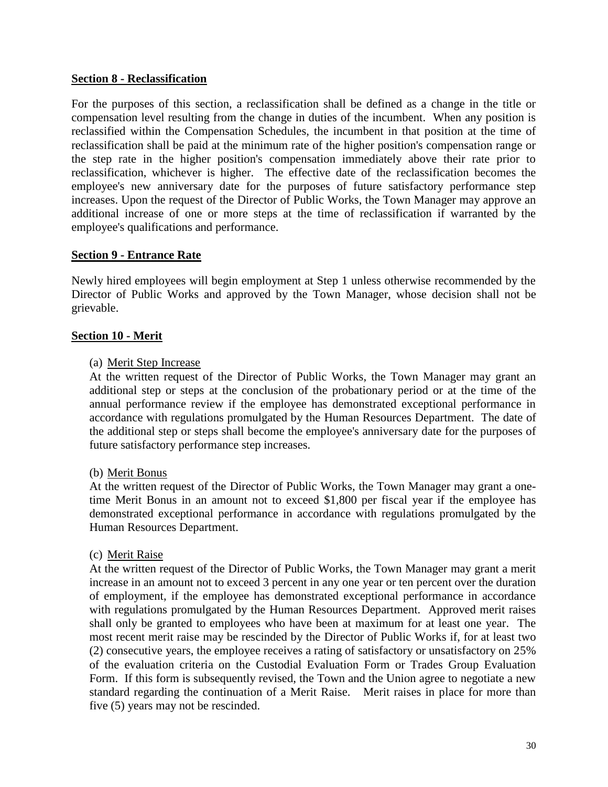# **Section 8 - Reclassification**

For the purposes of this section, a reclassification shall be defined as a change in the title or compensation level resulting from the change in duties of the incumbent. When any position is reclassified within the Compensation Schedules, the incumbent in that position at the time of reclassification shall be paid at the minimum rate of the higher position's compensation range or the step rate in the higher position's compensation immediately above their rate prior to reclassification, whichever is higher. The effective date of the reclassification becomes the employee's new anniversary date for the purposes of future satisfactory performance step increases. Upon the request of the Director of Public Works, the Town Manager may approve an additional increase of one or more steps at the time of reclassification if warranted by the employee's qualifications and performance.

### **Section 9 - Entrance Rate**

Newly hired employees will begin employment at Step 1 unless otherwise recommended by the Director of Public Works and approved by the Town Manager, whose decision shall not be grievable.

### **Section 10 - Merit**

### (a) Merit Step Increase

At the written request of the Director of Public Works, the Town Manager may grant an additional step or steps at the conclusion of the probationary period or at the time of the annual performance review if the employee has demonstrated exceptional performance in accordance with regulations promulgated by the Human Resources Department. The date of the additional step or steps shall become the employee's anniversary date for the purposes of future satisfactory performance step increases.

### (b) Merit Bonus

At the written request of the Director of Public Works, the Town Manager may grant a onetime Merit Bonus in an amount not to exceed \$1,800 per fiscal year if the employee has demonstrated exceptional performance in accordance with regulations promulgated by the Human Resources Department.

### (c) Merit Raise

At the written request of the Director of Public Works, the Town Manager may grant a merit increase in an amount not to exceed 3 percent in any one year or ten percent over the duration of employment, if the employee has demonstrated exceptional performance in accordance with regulations promulgated by the Human Resources Department. Approved merit raises shall only be granted to employees who have been at maximum for at least one year. The most recent merit raise may be rescinded by the Director of Public Works if, for at least two (2) consecutive years, the employee receives a rating of satisfactory or unsatisfactory on 25% of the evaluation criteria on the Custodial Evaluation Form or Trades Group Evaluation Form. If this form is subsequently revised, the Town and the Union agree to negotiate a new standard regarding the continuation of a Merit Raise. Merit raises in place for more than five (5) years may not be rescinded.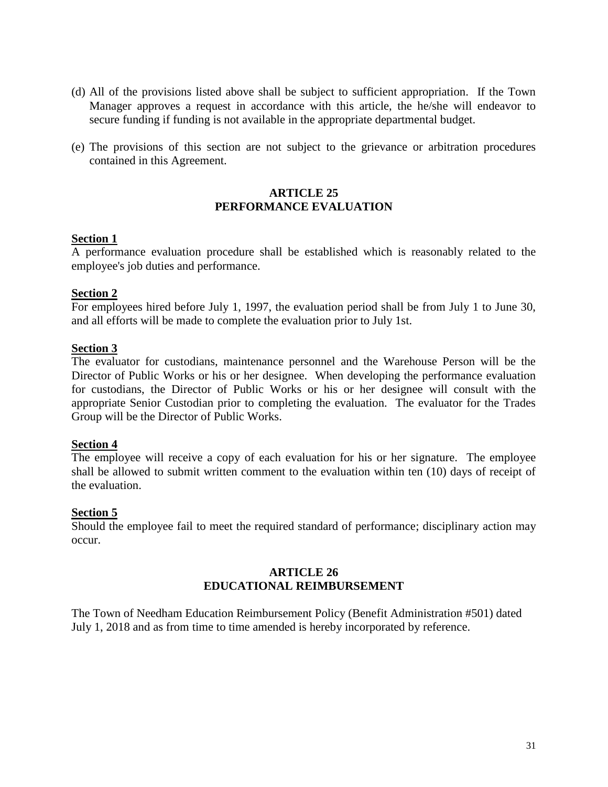- (d) All of the provisions listed above shall be subject to sufficient appropriation. If the Town Manager approves a request in accordance with this article, the he/she will endeavor to secure funding if funding is not available in the appropriate departmental budget.
- (e) The provisions of this section are not subject to the grievance or arbitration procedures contained in this Agreement.

### <span id="page-30-0"></span>**ARTICLE 25 PERFORMANCE EVALUATION**

# **Section 1**

A performance evaluation procedure shall be established which is reasonably related to the employee's job duties and performance.

# **Section 2**

For employees hired before July 1, 1997, the evaluation period shall be from July 1 to June 30, and all efforts will be made to complete the evaluation prior to July 1st.

### **Section 3**

The evaluator for custodians, maintenance personnel and the Warehouse Person will be the Director of Public Works or his or her designee. When developing the performance evaluation for custodians, the Director of Public Works or his or her designee will consult with the appropriate Senior Custodian prior to completing the evaluation. The evaluator for the Trades Group will be the Director of Public Works.

### **Section 4**

The employee will receive a copy of each evaluation for his or her signature. The employee shall be allowed to submit written comment to the evaluation within ten (10) days of receipt of the evaluation.

### **Section 5**

Should the employee fail to meet the required standard of performance; disciplinary action may occur.

# **ARTICLE 26 EDUCATIONAL REIMBURSEMENT**

<span id="page-30-1"></span>The Town of Needham Education Reimbursement Policy (Benefit Administration #501) dated July 1, 2018 and as from time to time amended is hereby incorporated by reference.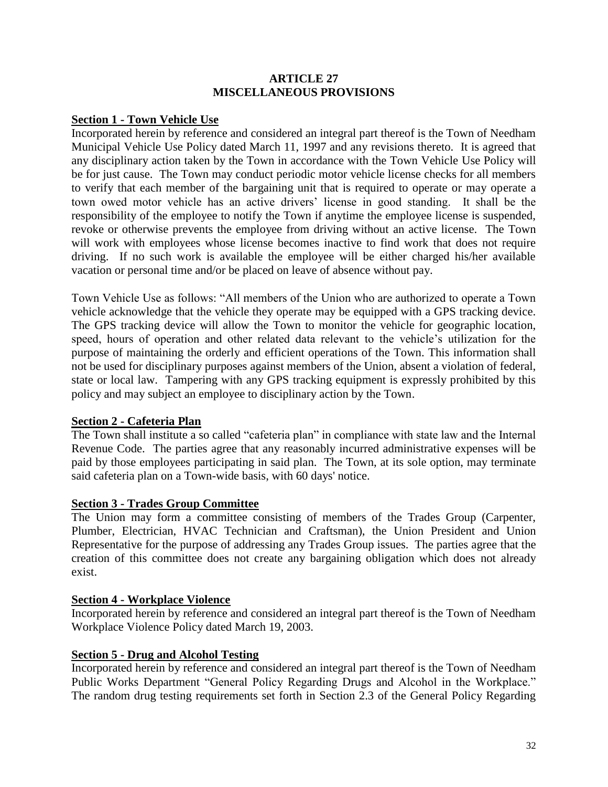### **ARTICLE 27 MISCELLANEOUS PROVISIONS**

# <span id="page-31-0"></span>**Section 1 - Town Vehicle Use**

Incorporated herein by reference and considered an integral part thereof is the Town of Needham Municipal Vehicle Use Policy dated March 11, 1997 and any revisions thereto. It is agreed that any disciplinary action taken by the Town in accordance with the Town Vehicle Use Policy will be for just cause. The Town may conduct periodic motor vehicle license checks for all members to verify that each member of the bargaining unit that is required to operate or may operate a town owed motor vehicle has an active drivers' license in good standing. It shall be the responsibility of the employee to notify the Town if anytime the employee license is suspended, revoke or otherwise prevents the employee from driving without an active license. The Town will work with employees whose license becomes inactive to find work that does not require driving. If no such work is available the employee will be either charged his/her available vacation or personal time and/or be placed on leave of absence without pay.

Town Vehicle Use as follows: "All members of the Union who are authorized to operate a Town vehicle acknowledge that the vehicle they operate may be equipped with a GPS tracking device. The GPS tracking device will allow the Town to monitor the vehicle for geographic location, speed, hours of operation and other related data relevant to the vehicle's utilization for the purpose of maintaining the orderly and efficient operations of the Town. This information shall not be used for disciplinary purposes against members of the Union, absent a violation of federal, state or local law. Tampering with any GPS tracking equipment is expressly prohibited by this policy and may subject an employee to disciplinary action by the Town.

# **Section 2 - Cafeteria Plan**

The Town shall institute a so called "cafeteria plan" in compliance with state law and the Internal Revenue Code. The parties agree that any reasonably incurred administrative expenses will be paid by those employees participating in said plan. The Town, at its sole option, may terminate said cafeteria plan on a Town-wide basis, with 60 days' notice.

### **Section 3 - Trades Group Committee**

The Union may form a committee consisting of members of the Trades Group (Carpenter, Plumber, Electrician, HVAC Technician and Craftsman), the Union President and Union Representative for the purpose of addressing any Trades Group issues. The parties agree that the creation of this committee does not create any bargaining obligation which does not already exist.

### **Section 4 - Workplace Violence**

Incorporated herein by reference and considered an integral part thereof is the Town of Needham Workplace Violence Policy dated March 19, 2003.

# **Section 5 - Drug and Alcohol Testing**

Incorporated herein by reference and considered an integral part thereof is the Town of Needham Public Works Department "General Policy Regarding Drugs and Alcohol in the Workplace." The random drug testing requirements set forth in Section 2.3 of the General Policy Regarding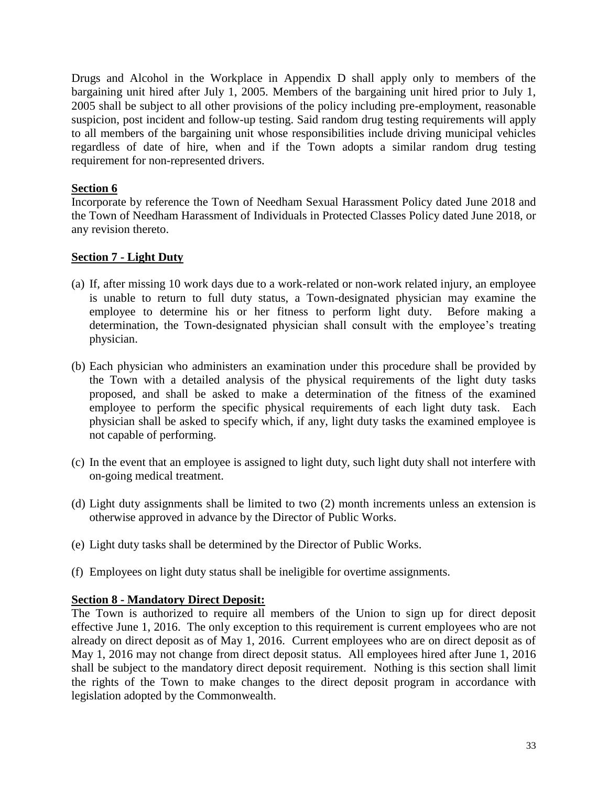Drugs and Alcohol in the Workplace in Appendix D shall apply only to members of the bargaining unit hired after July 1, 2005. Members of the bargaining unit hired prior to July 1, 2005 shall be subject to all other provisions of the policy including pre-employment, reasonable suspicion, post incident and follow-up testing. Said random drug testing requirements will apply to all members of the bargaining unit whose responsibilities include driving municipal vehicles regardless of date of hire, when and if the Town adopts a similar random drug testing requirement for non-represented drivers.

# **Section 6**

Incorporate by reference the Town of Needham Sexual Harassment Policy dated June 2018 and the Town of Needham Harassment of Individuals in Protected Classes Policy dated June 2018, or any revision thereto.

# **Section 7 - Light Duty**

- (a) If, after missing 10 work days due to a work-related or non-work related injury, an employee is unable to return to full duty status, a Town-designated physician may examine the employee to determine his or her fitness to perform light duty. Before making a determination, the Town-designated physician shall consult with the employee's treating physician.
- (b) Each physician who administers an examination under this procedure shall be provided by the Town with a detailed analysis of the physical requirements of the light duty tasks proposed, and shall be asked to make a determination of the fitness of the examined employee to perform the specific physical requirements of each light duty task. Each physician shall be asked to specify which, if any, light duty tasks the examined employee is not capable of performing.
- (c) In the event that an employee is assigned to light duty, such light duty shall not interfere with on-going medical treatment.
- (d) Light duty assignments shall be limited to two (2) month increments unless an extension is otherwise approved in advance by the Director of Public Works.
- (e) Light duty tasks shall be determined by the Director of Public Works.
- (f) Employees on light duty status shall be ineligible for overtime assignments.

# **Section 8 - Mandatory Direct Deposit:**

The Town is authorized to require all members of the Union to sign up for direct deposit effective June 1, 2016. The only exception to this requirement is current employees who are not already on direct deposit as of May 1, 2016. Current employees who are on direct deposit as of May 1, 2016 may not change from direct deposit status. All employees hired after June 1, 2016 shall be subject to the mandatory direct deposit requirement. Nothing is this section shall limit the rights of the Town to make changes to the direct deposit program in accordance with legislation adopted by the Commonwealth.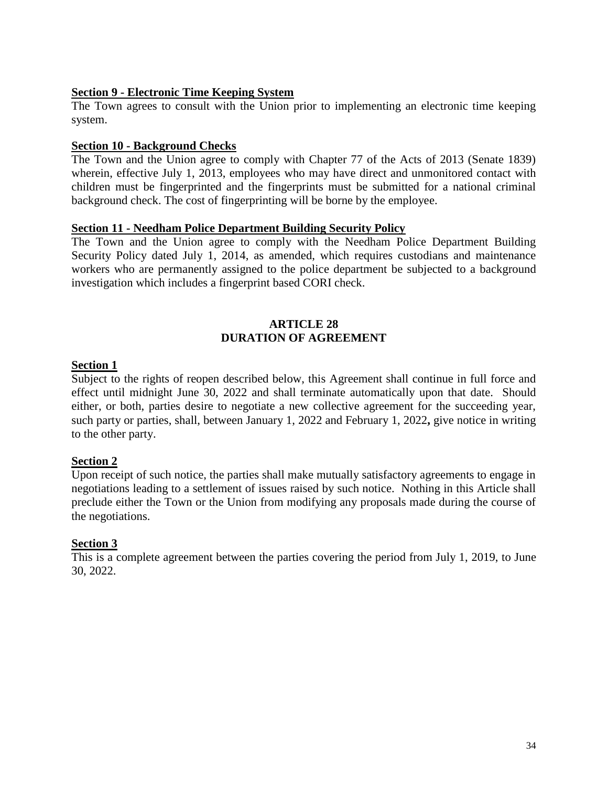### **Section 9 - Electronic Time Keeping System**

The Town agrees to consult with the Union prior to implementing an electronic time keeping system.

### **Section 10 - Background Checks**

The Town and the Union agree to comply with Chapter 77 of the Acts of 2013 (Senate 1839) wherein, effective July 1, 2013, employees who may have direct and unmonitored contact with children must be fingerprinted and the fingerprints must be submitted for a national criminal background check. The cost of fingerprinting will be borne by the employee.

### **Section 11 - Needham Police Department Building Security Policy**

The Town and the Union agree to comply with the Needham Police Department Building Security Policy dated July 1, 2014, as amended, which requires custodians and maintenance workers who are permanently assigned to the police department be subjected to a background investigation which includes a fingerprint based CORI check.

# **ARTICLE 28 DURATION OF AGREEMENT**

# <span id="page-33-0"></span>**Section 1**

Subject to the rights of reopen described below, this Agreement shall continue in full force and effect until midnight June 30, 2022 and shall terminate automatically upon that date. Should either, or both, parties desire to negotiate a new collective agreement for the succeeding year, such party or parties, shall, between January 1, 2022 and February 1, 2022**,** give notice in writing to the other party.

# **Section 2**

Upon receipt of such notice, the parties shall make mutually satisfactory agreements to engage in negotiations leading to a settlement of issues raised by such notice. Nothing in this Article shall preclude either the Town or the Union from modifying any proposals made during the course of the negotiations.

# **Section 3**

This is a complete agreement between the parties covering the period from July 1, 2019, to June 30, 2022.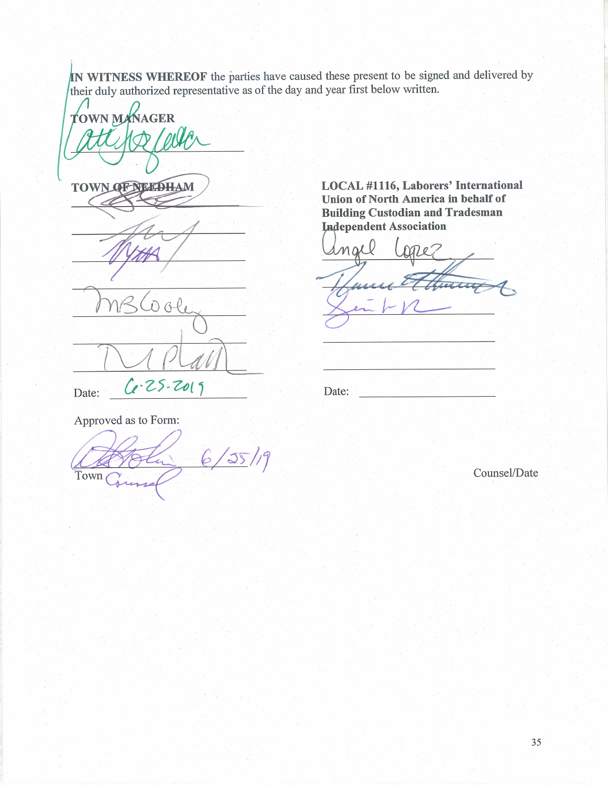IN WITNESS WHEREOF the parties have caused these present to be signed and delivered by their duly authorized representative as of the day and year first below written.

**TOWN MANAGER** 

TOWN OF NEEDHAM

 $B^0$  $\theta$ Ce-25-2019

LOCAL #1116, Laborers' International Union of North America in behalf of **Building Custodian and Tradesman Independent Association** 

 $max0$  $\overline{111}$ 

Date:

Approved as to Form:

Date:

 $-6/35/19$  $\epsilon$ Town

Counsel/Date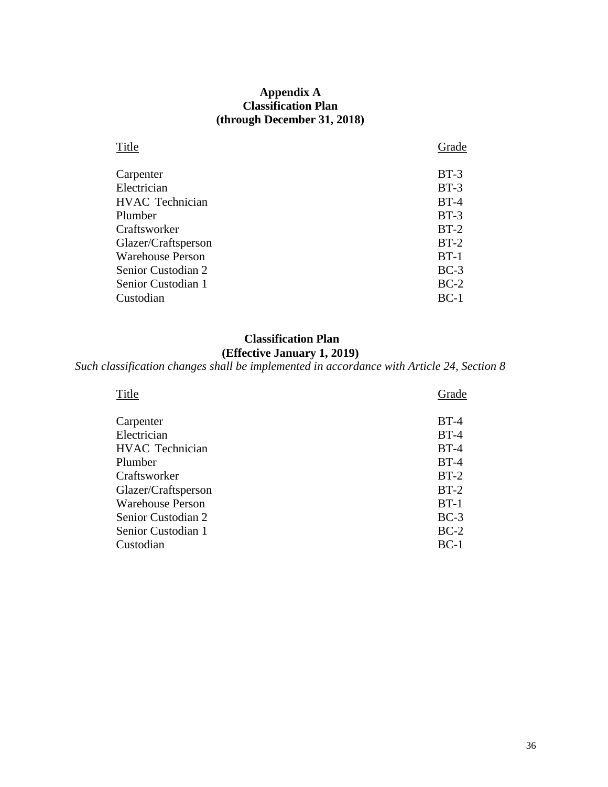# **Appendix A Classification Plan (through December 31, 2018)**

<span id="page-35-0"></span>

| Title                   | Grade  |
|-------------------------|--------|
| Carpenter               | $BT-3$ |
| Electrician             | $BT-3$ |
| <b>HVAC</b> Technician  | $BT-4$ |
| Plumber                 | $BT-3$ |
| Craftsworker            | $BT-2$ |
| Glazer/Craftsperson     | $BT-2$ |
| <b>Warehouse Person</b> | $BT-1$ |
| Senior Custodian 2      | $BC-3$ |
| Senior Custodian 1      | $BC-2$ |
| Custodian               | $BC-1$ |

# **Classification Plan**

# **(Effective January 1, 2019)**

# *Such classification changes shall be implemented in accordance with Article 24, Section 8*

| Title                   | Grade  |
|-------------------------|--------|
| Carpenter               | $BT-4$ |
| Electrician             | $BT-4$ |
| <b>HVAC</b> Technician  | $BT-4$ |
| Plumber                 | $BT-4$ |
| Craftsworker            | $BT-2$ |
| Glazer/Craftsperson     | $BT-2$ |
| <b>Warehouse Person</b> | $BT-1$ |
| Senior Custodian 2      | $BC-3$ |
| Senior Custodian 1      | $BC-2$ |
| Custodian               | $BC-1$ |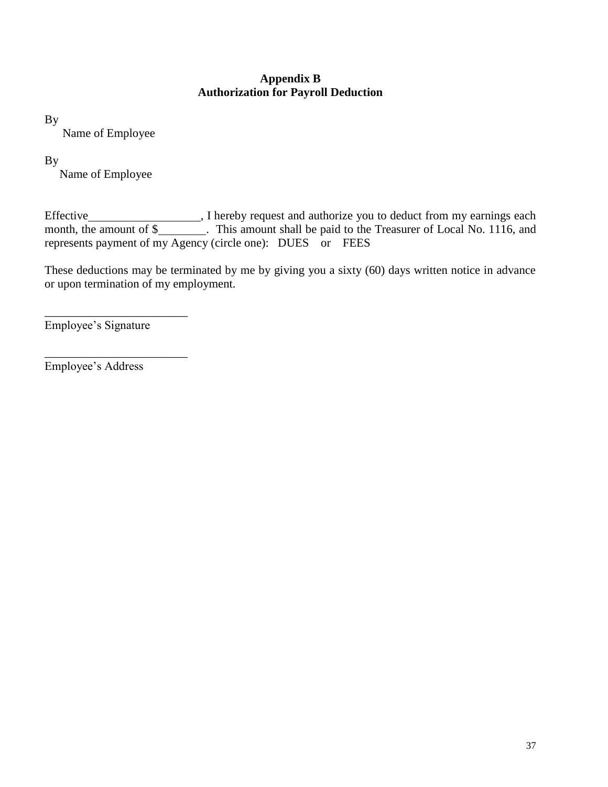# **Appendix B Authorization for Payroll Deduction**

<span id="page-36-0"></span>By

Name of Employee

# By

Name of Employee

Effective **Subsequest** and authorize you to deduct from my earnings each month, the amount of \$\_\_\_\_\_\_\_\_. This amount shall be paid to the Treasurer of Local No. 1116, and represents payment of my Agency (circle one): DUES or FEES

These deductions may be terminated by me by giving you a sixty (60) days written notice in advance or upon termination of my employment.

Employee's Signature

\_\_\_\_\_\_\_\_\_\_\_\_\_\_\_\_\_\_\_\_\_\_\_\_

\_\_\_\_\_\_\_\_\_\_\_\_\_\_\_\_\_\_\_\_\_\_\_\_

Employee's Address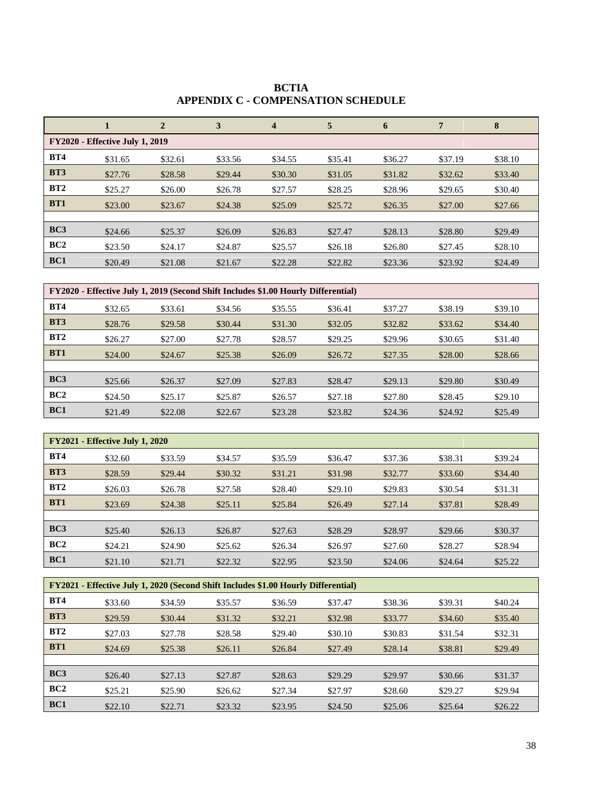<span id="page-37-0"></span>

|                 | 1                                      | $\overline{2}$ | 3       | $\overline{\mathbf{4}}$ | 5       | 6       | 7       | 8       |
|-----------------|----------------------------------------|----------------|---------|-------------------------|---------|---------|---------|---------|
|                 | <b>FY2020 - Effective July 1, 2019</b> |                |         |                         |         |         |         |         |
| <b>BT4</b>      | \$31.65                                | \$32.61        | \$33.56 | \$34.55                 | \$35.41 | \$36.27 | \$37.19 | \$38.10 |
| <b>BT3</b>      | \$27.76                                | \$28.58        | \$29.44 | \$30.30                 | \$31.05 | \$31.82 | \$32.62 | \$33.40 |
| BT2             | \$25.27                                | \$26.00        | \$26.78 | \$27.57                 | \$28.25 | \$28.96 | \$29.65 | \$30.40 |
| BT1             | \$23.00                                | \$23.67        | \$24.38 | \$25.09                 | \$25.72 | \$26.35 | \$27.00 | \$27.66 |
|                 |                                        |                |         |                         |         |         |         |         |
| BC <sub>3</sub> | \$24.66                                | \$25.37        | \$26.09 | \$26.83                 | \$27.47 | \$28.13 | \$28.80 | \$29.49 |
| BC2             | \$23.50                                | \$24.17        | \$24.87 | \$25.57                 | \$26.18 | \$26.80 | \$27.45 | \$28.10 |
| BC1             | \$20.49                                | \$21.08        | \$21.67 | \$22.28                 | \$22.82 | \$23.36 | \$23.92 | \$24.49 |

**BCTIA APPENDIX C - COMPENSATION SCHEDULE**

| FY2020 - Effective July 1, 2019 (Second Shift Includes \$1.00 Hourly Differential) |         |         |         |         |         |         |         |         |  |
|------------------------------------------------------------------------------------|---------|---------|---------|---------|---------|---------|---------|---------|--|
| <b>BT4</b>                                                                         | \$32.65 | \$33.61 | \$34.56 | \$35.55 | \$36.41 | \$37.27 | \$38.19 | \$39.10 |  |
| <b>BT3</b>                                                                         | \$28.76 | \$29.58 | \$30.44 | \$31.30 | \$32.05 | \$32.82 | \$33.62 | \$34.40 |  |
| BT2                                                                                | \$26.27 | \$27.00 | \$27.78 | \$28.57 | \$29.25 | \$29.96 | \$30.65 | \$31.40 |  |
| <b>BT1</b>                                                                         | \$24.00 | \$24.67 | \$25.38 | \$26.09 | \$26.72 | \$27.35 | \$28.00 | \$28.66 |  |
|                                                                                    |         |         |         |         |         |         |         |         |  |
| BC3                                                                                | \$25.66 | \$26.37 | \$27.09 | \$27.83 | \$28.47 | \$29.13 | \$29.80 | \$30.49 |  |
| BC2                                                                                | \$24.50 | \$25.17 | \$25.87 | \$26.57 | \$27.18 | \$27.80 | \$28.45 | \$29.10 |  |
| BC1                                                                                | \$21.49 | \$22.08 | \$22.67 | \$23.28 | \$23.82 | \$24.36 | \$24.92 | \$25.49 |  |

| <b>FY2021 - Effective July 1, 2020</b> |         |         |         |         |         |         |         |         |  |
|----------------------------------------|---------|---------|---------|---------|---------|---------|---------|---------|--|
| <b>BT4</b>                             | \$32.60 | \$33.59 | \$34.57 | \$35.59 | \$36.47 | \$37.36 | \$38.31 | \$39.24 |  |
| <b>BT3</b>                             | \$28.59 | \$29.44 | \$30.32 | \$31.21 | \$31.98 | \$32.77 | \$33.60 | \$34.40 |  |
| BT2                                    | \$26.03 | \$26.78 | \$27.58 | \$28.40 | \$29.10 | \$29.83 | \$30.54 | \$31.31 |  |
| <b>BT1</b>                             | \$23.69 | \$24.38 | \$25.11 | \$25.84 | \$26.49 | \$27.14 | \$37.81 | \$28.49 |  |
|                                        |         |         |         |         |         |         |         |         |  |
| BC3                                    | \$25.40 | \$26.13 | \$26.87 | \$27.63 | \$28.29 | \$28.97 | \$29.66 | \$30.37 |  |
| BC2                                    | \$24.21 | \$24.90 | \$25.62 | \$26.34 | \$26.97 | \$27.60 | \$28.27 | \$28.94 |  |
| BC1                                    | \$21.10 | \$21.71 | \$22.32 | \$22.95 | \$23.50 | \$24.06 | \$24.64 | \$25.22 |  |

| FY2021 - Effective July 1, 2020 (Second Shift Includes \$1.00 Hourly Differential) |         |         |         |         |         |         |         |         |  |
|------------------------------------------------------------------------------------|---------|---------|---------|---------|---------|---------|---------|---------|--|
| <b>BT4</b>                                                                         | \$33.60 | \$34.59 | \$35.57 | \$36.59 | \$37.47 | \$38.36 | \$39.31 | \$40.24 |  |
| <b>BT3</b>                                                                         | \$29.59 | \$30.44 | \$31.32 | \$32.21 | \$32.98 | \$33.77 | \$34.60 | \$35.40 |  |
| BT2                                                                                | \$27.03 | \$27.78 | \$28.58 | \$29.40 | \$30.10 | \$30.83 | \$31.54 | \$32.31 |  |
| <b>BT1</b>                                                                         | \$24.69 | \$25.38 | \$26.11 | \$26.84 | \$27.49 | \$28.14 | \$38.81 | \$29.49 |  |
|                                                                                    |         |         |         |         |         |         |         |         |  |
| BC3                                                                                | \$26.40 | \$27.13 | \$27.87 | \$28.63 | \$29.29 | \$29.97 | \$30.66 | \$31.37 |  |
| BC2                                                                                | \$25.21 | \$25.90 | \$26.62 | \$27.34 | \$27.97 | \$28.60 | \$29.27 | \$29.94 |  |
| BC1                                                                                | \$22.10 | \$22.71 | \$23.32 | \$23.95 | \$24.50 | \$25.06 | \$25.64 | \$26.22 |  |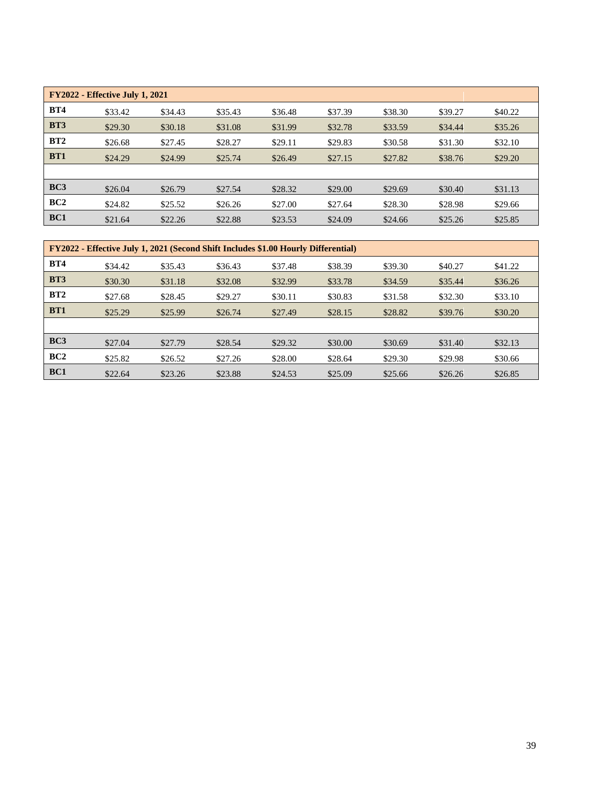| <b>FY2022 - Effective July 1, 2021</b> |         |         |         |         |         |         |         |         |  |
|----------------------------------------|---------|---------|---------|---------|---------|---------|---------|---------|--|
| <b>BT4</b>                             | \$33.42 | \$34.43 | \$35.43 | \$36.48 | \$37.39 | \$38.30 | \$39.27 | \$40.22 |  |
| <b>BT3</b>                             | \$29.30 | \$30.18 | \$31.08 | \$31.99 | \$32.78 | \$33.59 | \$34.44 | \$35.26 |  |
| BT2                                    | \$26.68 | \$27.45 | \$28.27 | \$29.11 | \$29.83 | \$30.58 | \$31.30 | \$32.10 |  |
| <b>BT1</b>                             | \$24.29 | \$24.99 | \$25.74 | \$26.49 | \$27.15 | \$27.82 | \$38.76 | \$29.20 |  |
|                                        |         |         |         |         |         |         |         |         |  |
| BC3                                    | \$26.04 | \$26.79 | \$27.54 | \$28.32 | \$29.00 | \$29.69 | \$30.40 | \$31.13 |  |
| BC2                                    | \$24.82 | \$25.52 | \$26.26 | \$27.00 | \$27.64 | \$28.30 | \$28.98 | \$29.66 |  |
| BC1                                    | \$21.64 | \$22.26 | \$22.88 | \$23.53 | \$24.09 | \$24.66 | \$25.26 | \$25.85 |  |

| <b>FY2022 - Effective July 1, 2021 (Second Shift Includes \$1.00 Hourly Differential)</b> |         |         |         |         |         |         |         |         |  |
|-------------------------------------------------------------------------------------------|---------|---------|---------|---------|---------|---------|---------|---------|--|
| <b>BT4</b>                                                                                | \$34.42 | \$35.43 | \$36.43 | \$37.48 | \$38.39 | \$39.30 | \$40.27 | \$41.22 |  |
| <b>BT3</b>                                                                                | \$30.30 | \$31.18 | \$32.08 | \$32.99 | \$33.78 | \$34.59 | \$35.44 | \$36.26 |  |
| BT2                                                                                       | \$27.68 | \$28.45 | \$29.27 | \$30.11 | \$30.83 | \$31.58 | \$32.30 | \$33.10 |  |
| <b>BT1</b>                                                                                | \$25.29 | \$25.99 | \$26.74 | \$27.49 | \$28.15 | \$28.82 | \$39.76 | \$30.20 |  |
|                                                                                           |         |         |         |         |         |         |         |         |  |
| BC3                                                                                       | \$27.04 | \$27.79 | \$28.54 | \$29.32 | \$30.00 | \$30.69 | \$31.40 | \$32.13 |  |
| BC2                                                                                       | \$25.82 | \$26.52 | \$27.26 | \$28.00 | \$28.64 | \$29.30 | \$29.98 | \$30.66 |  |
| BC1                                                                                       | \$22.64 | \$23.26 | \$23.88 | \$24.53 | \$25.09 | \$25.66 | \$26.26 | \$26.85 |  |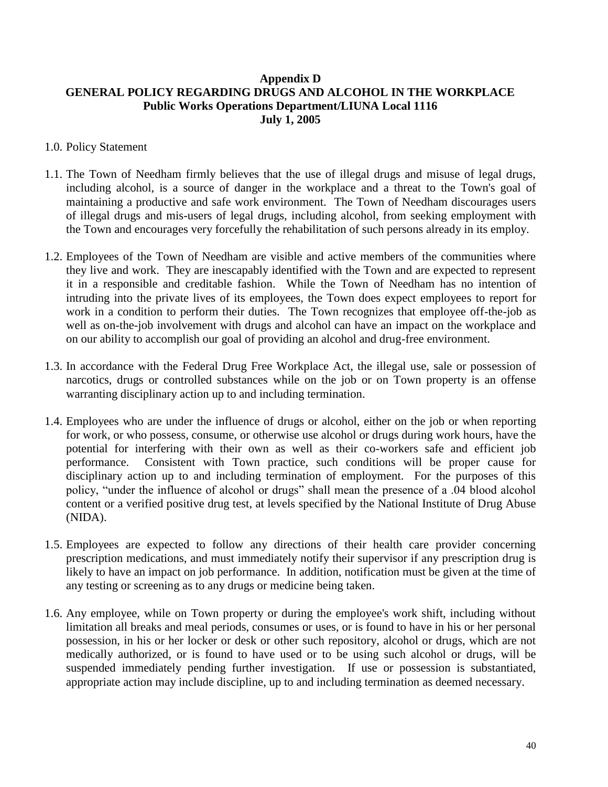# <span id="page-39-0"></span>**Appendix D GENERAL POLICY REGARDING DRUGS AND ALCOHOL IN THE WORKPLACE Public Works Operations Department/LIUNA Local 1116 July 1, 2005**

### 1.0. Policy Statement

- 1.1. The Town of Needham firmly believes that the use of illegal drugs and misuse of legal drugs, including alcohol, is a source of danger in the workplace and a threat to the Town's goal of maintaining a productive and safe work environment. The Town of Needham discourages users of illegal drugs and mis-users of legal drugs, including alcohol, from seeking employment with the Town and encourages very forcefully the rehabilitation of such persons already in its employ.
- 1.2. Employees of the Town of Needham are visible and active members of the communities where they live and work. They are inescapably identified with the Town and are expected to represent it in a responsible and creditable fashion. While the Town of Needham has no intention of intruding into the private lives of its employees, the Town does expect employees to report for work in a condition to perform their duties. The Town recognizes that employee off-the-job as well as on-the-job involvement with drugs and alcohol can have an impact on the workplace and on our ability to accomplish our goal of providing an alcohol and drug-free environment.
- 1.3. In accordance with the Federal Drug Free Workplace Act, the illegal use, sale or possession of narcotics, drugs or controlled substances while on the job or on Town property is an offense warranting disciplinary action up to and including termination.
- 1.4. Employees who are under the influence of drugs or alcohol, either on the job or when reporting for work, or who possess, consume, or otherwise use alcohol or drugs during work hours, have the potential for interfering with their own as well as their co-workers safe and efficient job performance. Consistent with Town practice, such conditions will be proper cause for disciplinary action up to and including termination of employment. For the purposes of this policy, "under the influence of alcohol or drugs" shall mean the presence of a .04 blood alcohol content or a verified positive drug test, at levels specified by the National Institute of Drug Abuse (NIDA).
- 1.5. Employees are expected to follow any directions of their health care provider concerning prescription medications, and must immediately notify their supervisor if any prescription drug is likely to have an impact on job performance. In addition, notification must be given at the time of any testing or screening as to any drugs or medicine being taken.
- 1.6. Any employee, while on Town property or during the employee's work shift, including without limitation all breaks and meal periods, consumes or uses, or is found to have in his or her personal possession, in his or her locker or desk or other such repository, alcohol or drugs, which are not medically authorized, or is found to have used or to be using such alcohol or drugs, will be suspended immediately pending further investigation. If use or possession is substantiated, appropriate action may include discipline, up to and including termination as deemed necessary.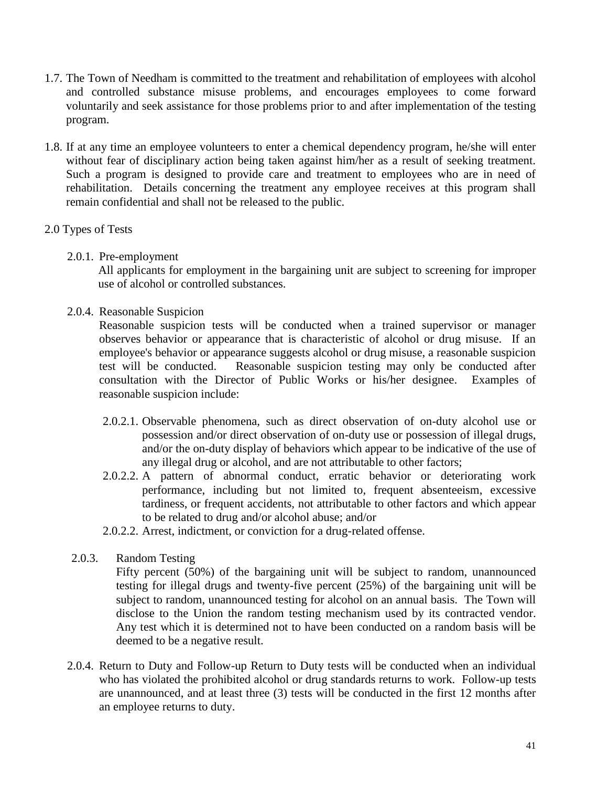- 1.7. The Town of Needham is committed to the treatment and rehabilitation of employees with alcohol and controlled substance misuse problems, and encourages employees to come forward voluntarily and seek assistance for those problems prior to and after implementation of the testing program.
- 1.8. If at any time an employee volunteers to enter a chemical dependency program, he/she will enter without fear of disciplinary action being taken against him/her as a result of seeking treatment. Such a program is designed to provide care and treatment to employees who are in need of rehabilitation. Details concerning the treatment any employee receives at this program shall remain confidential and shall not be released to the public.

# 2.0 Types of Tests

2.0.1. Pre-employment

All applicants for employment in the bargaining unit are subject to screening for improper use of alcohol or controlled substances.

2.0.4. Reasonable Suspicion

Reasonable suspicion tests will be conducted when a trained supervisor or manager observes behavior or appearance that is characteristic of alcohol or drug misuse. If an employee's behavior or appearance suggests alcohol or drug misuse, a reasonable suspicion test will be conducted. Reasonable suspicion testing may only be conducted after consultation with the Director of Public Works or his/her designee. Examples of reasonable suspicion include:

- 2.0.2.1. Observable phenomena, such as direct observation of on-duty alcohol use or possession and/or direct observation of on-duty use or possession of illegal drugs, and/or the on-duty display of behaviors which appear to be indicative of the use of any illegal drug or alcohol, and are not attributable to other factors;
- 2.0.2.2. A pattern of abnormal conduct, erratic behavior or deteriorating work performance, including but not limited to, frequent absenteeism, excessive tardiness, or frequent accidents, not attributable to other factors and which appear to be related to drug and/or alcohol abuse; and/or
- 2.0.2.2. Arrest, indictment, or conviction for a drug-related offense.
- 2.0.3. Random Testing
	- Fifty percent (50%) of the bargaining unit will be subject to random, unannounced testing for illegal drugs and twenty-five percent (25%) of the bargaining unit will be subject to random, unannounced testing for alcohol on an annual basis. The Town will disclose to the Union the random testing mechanism used by its contracted vendor. Any test which it is determined not to have been conducted on a random basis will be deemed to be a negative result.
- 2.0.4. Return to Duty and Follow-up Return to Duty tests will be conducted when an individual who has violated the prohibited alcohol or drug standards returns to work. Follow-up tests are unannounced, and at least three (3) tests will be conducted in the first 12 months after an employee returns to duty.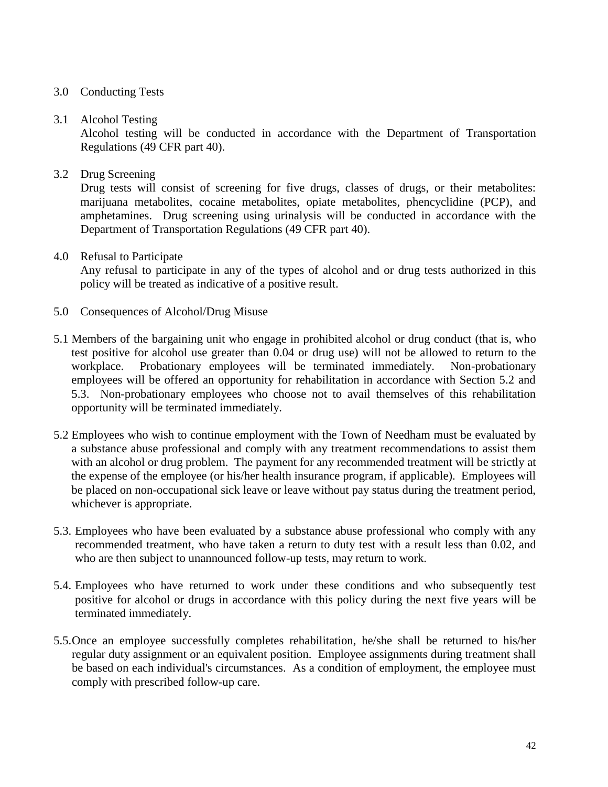# 3.0 Conducting Tests

### 3.1 Alcohol Testing

Alcohol testing will be conducted in accordance with the Department of Transportation Regulations (49 CFR part 40).

### 3.2 Drug Screening

Drug tests will consist of screening for five drugs, classes of drugs, or their metabolites: marijuana metabolites, cocaine metabolites, opiate metabolites, phencyclidine (PCP), and amphetamines. Drug screening using urinalysis will be conducted in accordance with the Department of Transportation Regulations (49 CFR part 40).

#### 4.0 Refusal to Participate

Any refusal to participate in any of the types of alcohol and or drug tests authorized in this policy will be treated as indicative of a positive result.

- 5.0 Consequences of Alcohol/Drug Misuse
- 5.1 Members of the bargaining unit who engage in prohibited alcohol or drug conduct (that is, who test positive for alcohol use greater than 0.04 or drug use) will not be allowed to return to the workplace. Probationary employees will be terminated immediately. Non-probationary employees will be offered an opportunity for rehabilitation in accordance with Section 5.2 and 5.3. Non-probationary employees who choose not to avail themselves of this rehabilitation opportunity will be terminated immediately.
- 5.2 Employees who wish to continue employment with the Town of Needham must be evaluated by a substance abuse professional and comply with any treatment recommendations to assist them with an alcohol or drug problem. The payment for any recommended treatment will be strictly at the expense of the employee (or his/her health insurance program, if applicable). Employees will be placed on non-occupational sick leave or leave without pay status during the treatment period, whichever is appropriate.
- 5.3. Employees who have been evaluated by a substance abuse professional who comply with any recommended treatment, who have taken a return to duty test with a result less than 0.02, and who are then subject to unannounced follow-up tests, may return to work.
- 5.4. Employees who have returned to work under these conditions and who subsequently test positive for alcohol or drugs in accordance with this policy during the next five years will be terminated immediately.
- 5.5.Once an employee successfully completes rehabilitation, he/she shall be returned to his/her regular duty assignment or an equivalent position. Employee assignments during treatment shall be based on each individual's circumstances. As a condition of employment, the employee must comply with prescribed follow-up care.